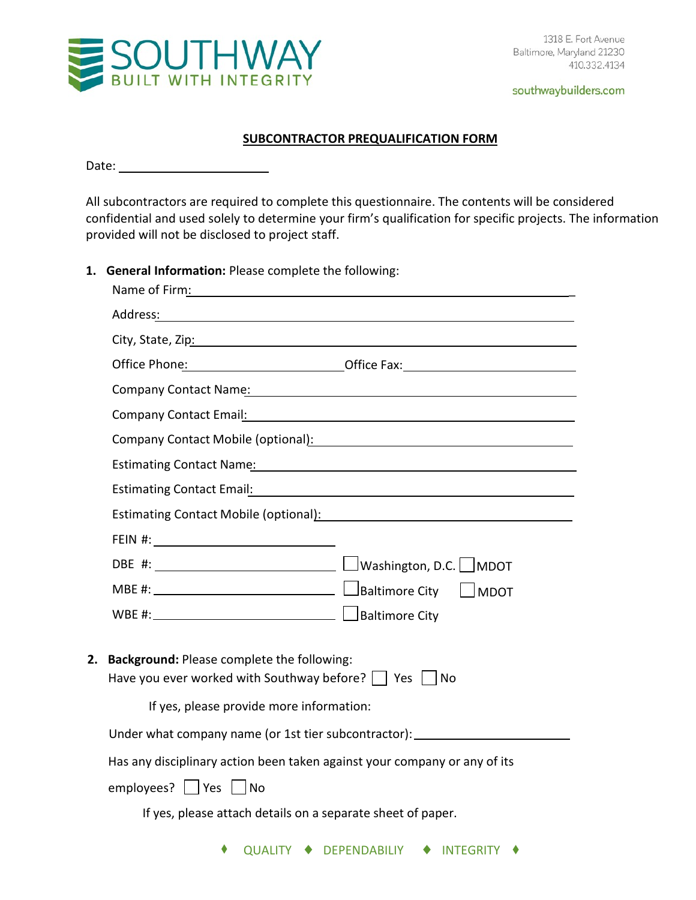

#### **SUBCONTRACTOR PREQUALIFICATION FORM**

Date:

All subcontractors are required to complete this questionnaire. The contents will be considered confidential and used solely to determine your firm's qualification for specific projects. The information provided will not be disclosed to project staff.

**1. General Information:** Please complete the following:

| Name of Firm:                                                                                                                                                                                                                       |                                                                                                                                                                                                                                |
|-------------------------------------------------------------------------------------------------------------------------------------------------------------------------------------------------------------------------------------|--------------------------------------------------------------------------------------------------------------------------------------------------------------------------------------------------------------------------------|
|                                                                                                                                                                                                                                     |                                                                                                                                                                                                                                |
| City, State, Zip: The Contract of the City, State, Zip: The City, State of the City                                                                                                                                                 |                                                                                                                                                                                                                                |
|                                                                                                                                                                                                                                     | Office Phone: Calculation Control Control Control Control Control Control Control Control Control Control Control Control Control Control Control Control Control Control Control Control Control Control Control Control Cont |
| Company Contact Name: Name and Contact of the Contact of the Contact of the Contact of the Contact of the Contact of the Contact of the Contact of the Contact of the Contact of the Contact of the Contact of the Contact of       |                                                                                                                                                                                                                                |
|                                                                                                                                                                                                                                     |                                                                                                                                                                                                                                |
|                                                                                                                                                                                                                                     | Company Contact Mobile (optional): Notified that the control of the control of the control of the control of the control of the control of the control of the control of the control of the control of the control of the cont |
| <b>Estimating Contact Name:</b> The Contact Order of the Contact Order of the Contact Order of the Contact Order of the Contact Order of the Contact Order of the Contact Order of the Contact Order of the Contact Order of the Co |                                                                                                                                                                                                                                |
|                                                                                                                                                                                                                                     | Estimating Contact Email: Manual According to the Contract of the Contract of the Contract of the Contract of                                                                                                                  |
|                                                                                                                                                                                                                                     | Estimating Contact Mobile (optional): Manual Contract Contract Contract Contract Contract Contract Contract Co                                                                                                                 |
|                                                                                                                                                                                                                                     |                                                                                                                                                                                                                                |
|                                                                                                                                                                                                                                     |                                                                                                                                                                                                                                |
|                                                                                                                                                                                                                                     |                                                                                                                                                                                                                                |
|                                                                                                                                                                                                                                     |                                                                                                                                                                                                                                |
| Background: Please complete the following:<br>Have you ever worked with Southway before? $\vert$   Yes $\vert$   No<br>If yes, please provide more information:                                                                     |                                                                                                                                                                                                                                |
|                                                                                                                                                                                                                                     | Under what company name (or 1st tier subcontractor): ___________________________                                                                                                                                               |
| Has any disciplinary action been taken against your company or any of its                                                                                                                                                           |                                                                                                                                                                                                                                |
| employees?   $ Yes $   No                                                                                                                                                                                                           |                                                                                                                                                                                                                                |
| If yes, please attach details on a separate sheet of paper.                                                                                                                                                                         |                                                                                                                                                                                                                                |
| QUALITY + DEPENDABILIY                                                                                                                                                                                                              | <b>INTEGRITY</b>                                                                                                                                                                                                               |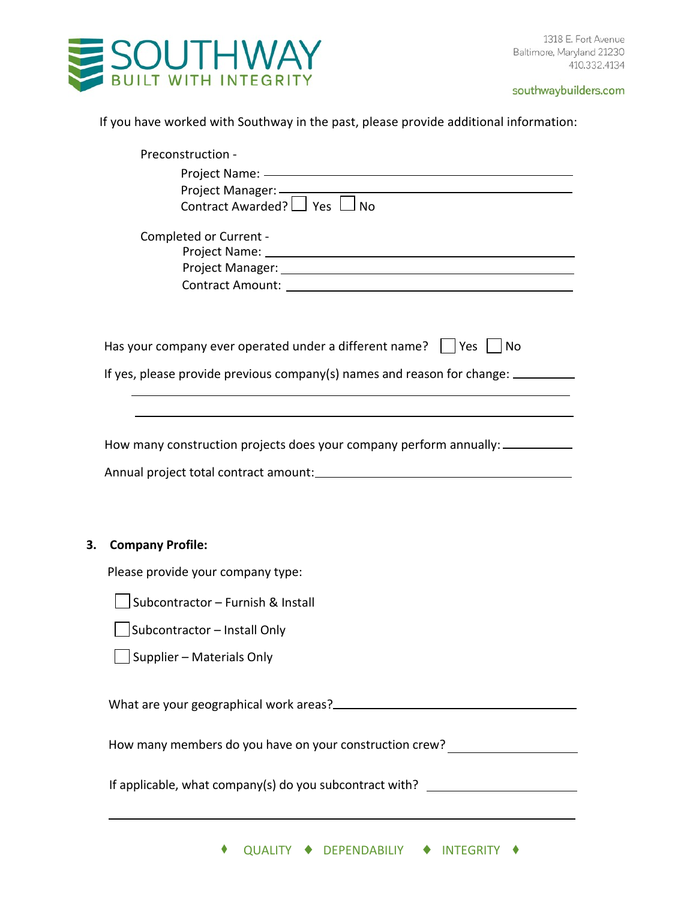

If you have worked with Southway in the past, please provide additional information:

|    | Preconstruction -                                                                                                                                                                                                              |
|----|--------------------------------------------------------------------------------------------------------------------------------------------------------------------------------------------------------------------------------|
|    | Project Name: - The Contract of the Contract of the Contract of the Contract of the Contract of the Contract of the Contract of the Contract of the Contract of the Contract of the Contract of the Contract of the Contract o |
|    | Project Manager: ____________                                                                                                                                                                                                  |
|    | Contract Awarded? $\Box$ Yes $\Box$ No                                                                                                                                                                                         |
|    | Completed or Current -                                                                                                                                                                                                         |
|    |                                                                                                                                                                                                                                |
|    |                                                                                                                                                                                                                                |
|    |                                                                                                                                                                                                                                |
|    |                                                                                                                                                                                                                                |
|    | Has your company ever operated under a different name? $\Box$ Yes $\Box$ No                                                                                                                                                    |
|    | If yes, please provide previous company(s) names and reason for change: ________                                                                                                                                               |
|    |                                                                                                                                                                                                                                |
|    |                                                                                                                                                                                                                                |
|    | How many construction projects does your company perform annually: ____________                                                                                                                                                |
|    |                                                                                                                                                                                                                                |
|    |                                                                                                                                                                                                                                |
|    |                                                                                                                                                                                                                                |
| 3. | <b>Company Profile:</b>                                                                                                                                                                                                        |
|    | Please provide your company type:                                                                                                                                                                                              |
|    | Subcontractor - Furnish & Install                                                                                                                                                                                              |
|    | Subcontractor - Install Only                                                                                                                                                                                                   |
|    | $\Box$ Supplier – Materials Only                                                                                                                                                                                               |
|    |                                                                                                                                                                                                                                |
|    |                                                                                                                                                                                                                                |
|    | How many members do you have on your construction crew?                                                                                                                                                                        |
|    |                                                                                                                                                                                                                                |
|    | If applicable, what company(s) do you subcontract with? ________________________                                                                                                                                               |
|    |                                                                                                                                                                                                                                |
|    |                                                                                                                                                                                                                                |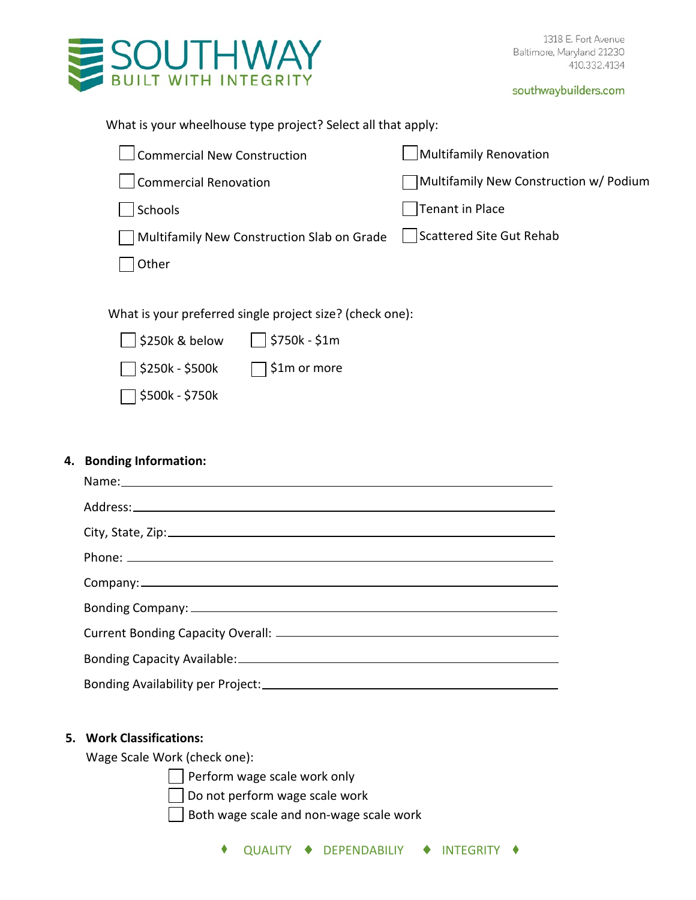

| What is your wheelhouse type project? Select all that apply: |  |
|--------------------------------------------------------------|--|
|                                                              |  |

| <b>Commercial New Construction</b>                       |               | Multifamily Renovation                 |
|----------------------------------------------------------|---------------|----------------------------------------|
| <b>Commercial Renovation</b>                             |               | Multifamily New Construction w/ Podium |
| Schools                                                  |               | <b>Tenant in Place</b>                 |
| Multifamily New Construction Slab on Grade               |               | <b>Scattered Site Gut Rehab</b>        |
| Other                                                    |               |                                        |
|                                                          |               |                                        |
| What is your preferred single project size? (check one): |               |                                        |
| \$250k & below                                           | \$750k - \$1m |                                        |
| \$250k - \$500k                                          | \$1m or more  |                                        |
| \$500k - \$750k                                          |               |                                        |
|                                                          |               |                                        |

# **4. Bonding Information:**

## **5. Work Classifications:**

Wage Scale Work (check one):

Perform wage scale work only

 $\Box$  Do not perform wage scale work

 $\Box$  Both wage scale and non-wage scale work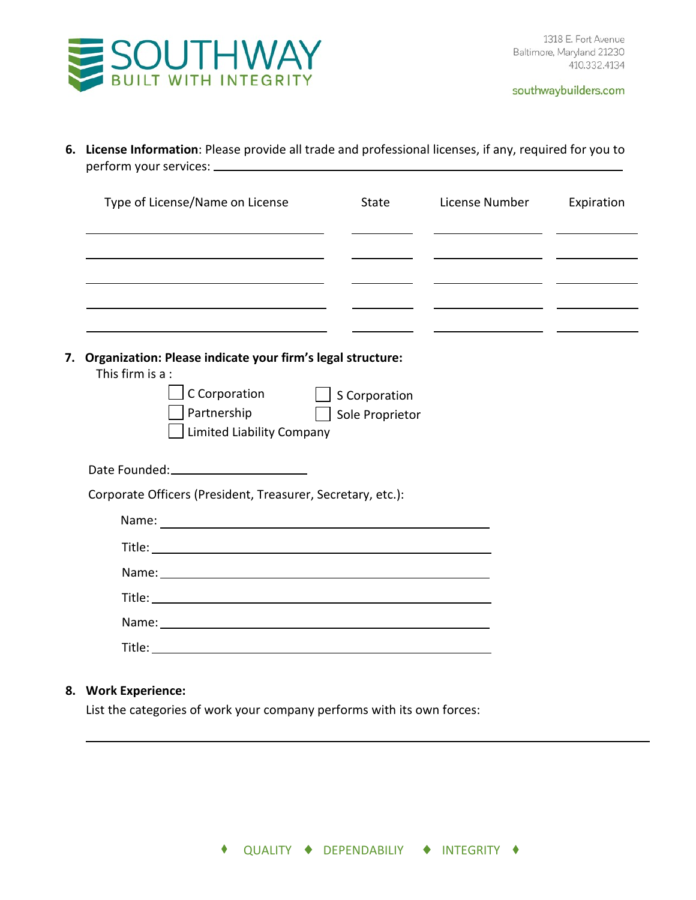

**6. License Information**: Please provide all trade and professional licenses, if any, required for you to perform your services:

| Type of License/Name on License                                                                                                                                                                                                | State | License Number | Expiration |
|--------------------------------------------------------------------------------------------------------------------------------------------------------------------------------------------------------------------------------|-------|----------------|------------|
|                                                                                                                                                                                                                                |       |                |            |
|                                                                                                                                                                                                                                |       |                |            |
|                                                                                                                                                                                                                                |       |                |            |
|                                                                                                                                                                                                                                |       |                |            |
| Organization: Please indicate your firm's legal structure:<br>7.<br>This firm is a :                                                                                                                                           |       |                |            |
| C Corporation S Corporation                                                                                                                                                                                                    |       |                |            |
| Partnership   Sole Proprietor                                                                                                                                                                                                  |       |                |            |
| Limited Liability Company                                                                                                                                                                                                      |       |                |            |
|                                                                                                                                                                                                                                |       |                |            |
| Corporate Officers (President, Treasurer, Secretary, etc.):                                                                                                                                                                    |       |                |            |
|                                                                                                                                                                                                                                |       |                |            |
| Title: Title: The Commission of the Commission of the Commission of the Commission of the Commission of the Commission of the Commission of the Commission of the Commission of the Commission of the Commission of the Commis |       |                |            |
| Name: Name and the state of the state of the state of the state of the state of the state of the state of the state of the state of the state of the state of the state of the state of the state of the state of the state of |       |                |            |
|                                                                                                                                                                                                                                |       |                |            |
|                                                                                                                                                                                                                                |       |                |            |

List the categories of work your company performs with its own forces: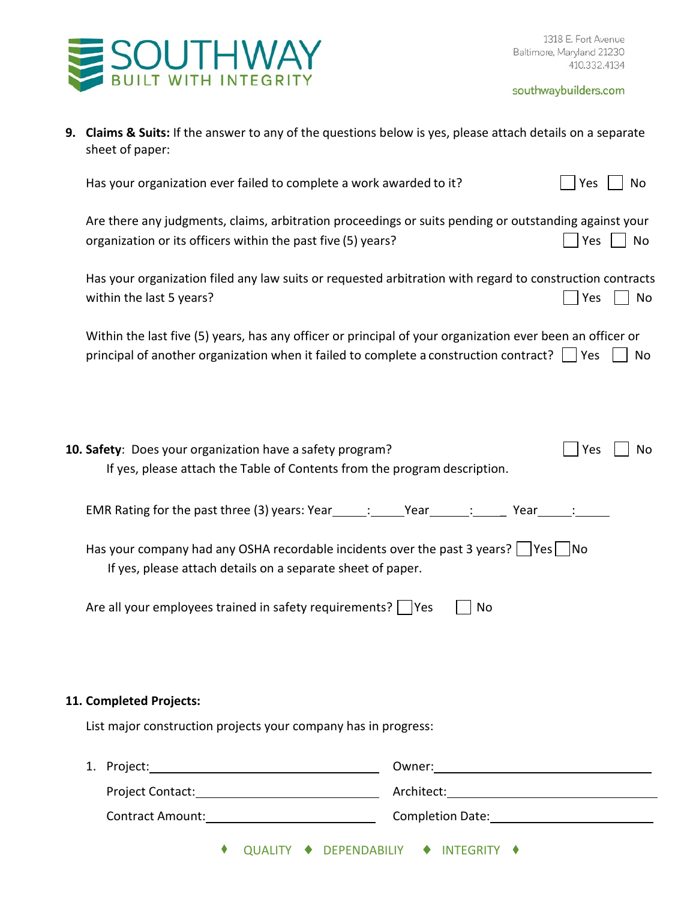

| 9. Claims & Suits: If the answer to any of the questions below is yes, please attach details on a separate |
|------------------------------------------------------------------------------------------------------------|
| sheet of paper:                                                                                            |

Has your organization ever failed to complete a work awarded to it?  $\Box$  Yes  $\Box$  No

Are there any judgments, claims, arbitration proceedings or suits pending or outstanding against your organization or its officers within the past five  $(5)$  years?

Has your organization filed any law suits or requested arbitration with regard to construction contracts within the last 5 years? No within the last 5 years?

Within the last five (5) years, has any officer or principal of your organization ever been an officer or principal of another organization when it failed to complete a construction contract?  $\vert \vert$  Yes  $\vert \vert$  No

| 10. Safety: Does your organization have a safety program?<br>If yes, please attach the Table of Contents from the program description.                                          | Yes | No. |
|---------------------------------------------------------------------------------------------------------------------------------------------------------------------------------|-----|-----|
| EMR Rating for the past three (3) years: Year______; ______Year______; _________ Year_____; ______                                                                              |     |     |
| Has your company had any OSHA recordable incidents over the past 3 years? $\vert$ $\vert$ Yes $\vert$ $\vert$ No<br>If yes, please attach details on a separate sheet of paper. |     |     |
| Are all your employees trained in safety requirements?       Yes<br>No                                                                                                          |     |     |
|                                                                                                                                                                                 |     |     |

#### **11. Completed Projects:**

List major construction projects your company has in progress:

| 1. Project:<br>the contract of the contract of the contract of the contract of the contract of the contract of the contract of |  |  |  | Owner:                               |  |
|--------------------------------------------------------------------------------------------------------------------------------|--|--|--|--------------------------------------|--|
| <b>Project Contact:</b>                                                                                                        |  |  |  | Architect:                           |  |
| <b>Contract Amount:</b>                                                                                                        |  |  |  | Completion Date:                     |  |
|                                                                                                                                |  |  |  | QUALITY ♦ DEPENDABILIY ♦ INTEGRITY ♦ |  |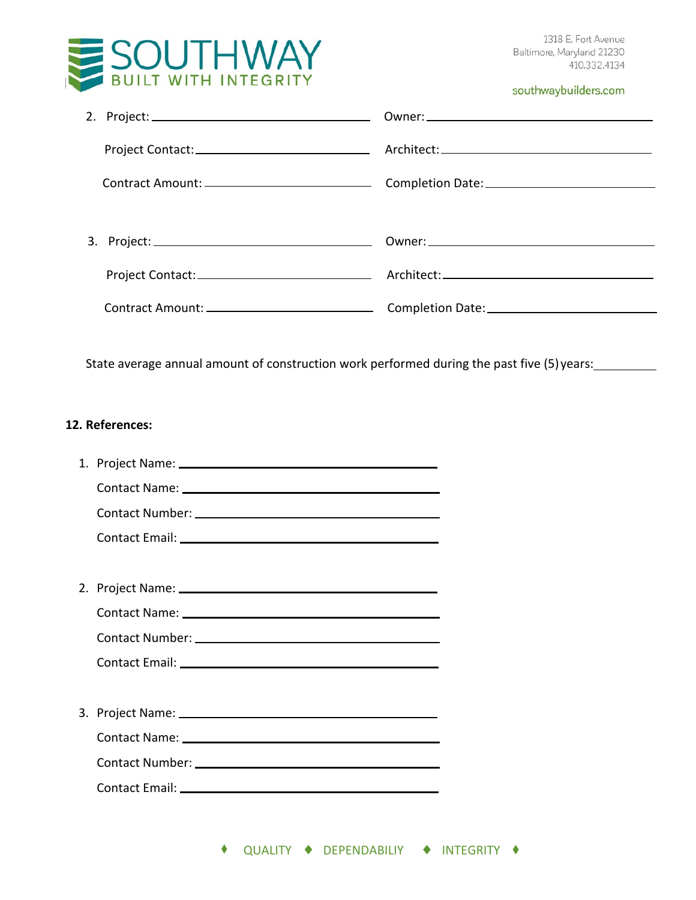

|                                                                                                                                                                                                                                | southwaybuilders.com                                                                       |
|--------------------------------------------------------------------------------------------------------------------------------------------------------------------------------------------------------------------------------|--------------------------------------------------------------------------------------------|
|                                                                                                                                                                                                                                |                                                                                            |
|                                                                                                                                                                                                                                |                                                                                            |
|                                                                                                                                                                                                                                |                                                                                            |
|                                                                                                                                                                                                                                |                                                                                            |
|                                                                                                                                                                                                                                |                                                                                            |
|                                                                                                                                                                                                                                |                                                                                            |
|                                                                                                                                                                                                                                | State average annual amount of construction work performed during the past five (5) years: |
|                                                                                                                                                                                                                                |                                                                                            |
|                                                                                                                                                                                                                                |                                                                                            |
| Contact Name: Name and South Allen Contact Name and Allen Contact Name and Allen Contact Allen Contact Allen Contact Allen Contact Allen Contact Allen Contact Allen Contact Allen Contact Allen Contact Allen Contact Allen C |                                                                                            |
|                                                                                                                                                                                                                                |                                                                                            |
| 12. References:                                                                                                                                                                                                                |                                                                                            |
|                                                                                                                                                                                                                                |                                                                                            |
|                                                                                                                                                                                                                                |                                                                                            |
|                                                                                                                                                                                                                                |                                                                                            |

3. Project Name: Contact Name:

Contact Number:

Contact Email: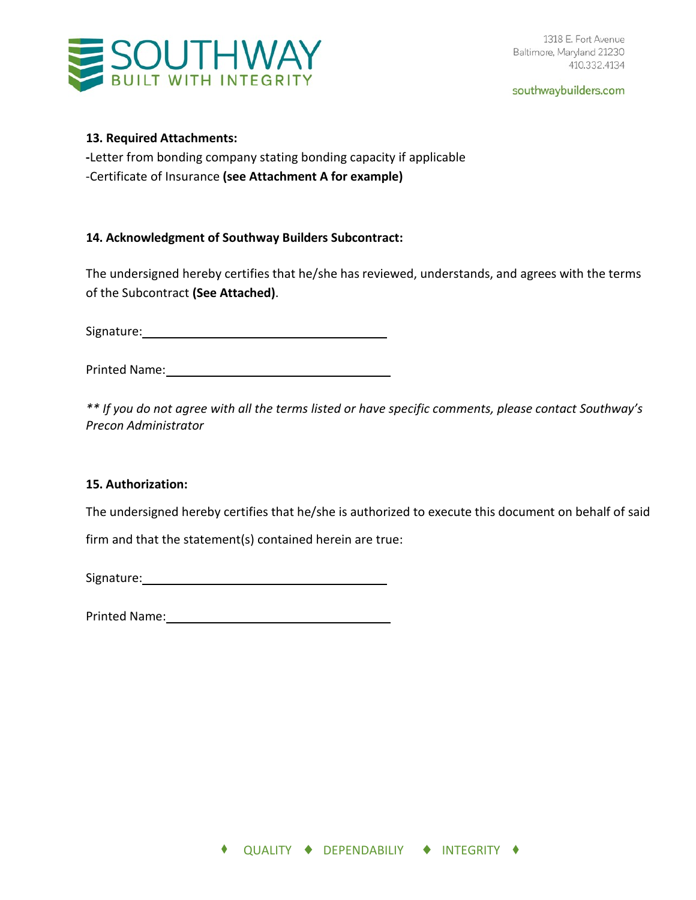# **SOUTHWAY**

southwaybuilders.com

# **13. Required Attachments:**

**-**Letter from bonding company stating bonding capacity if applicable -Certificate of Insurance **(see Attachment A for example)**

# **14. Acknowledgment of Southway Builders Subcontract:**

The undersigned hereby certifies that he/she has reviewed, understands, and agrees with the terms of the Subcontract **(See Attached)**.

Signature: Management of the Signature:

Printed Name:

*\*\* If you do not agree with all the terms listed or have specific comments, please contact Southway's Precon Administrator* 

# **15. Authorization:**

The undersigned hereby certifies that he/she is authorized to execute this document on behalf of said

firm and that the statement(s) contained herein are true:

Signature: when the state of the state of the state of the state of the state of the state of the state of the state of the state of the state of the state of the state of the state of the state of the state of the state o

Printed Name: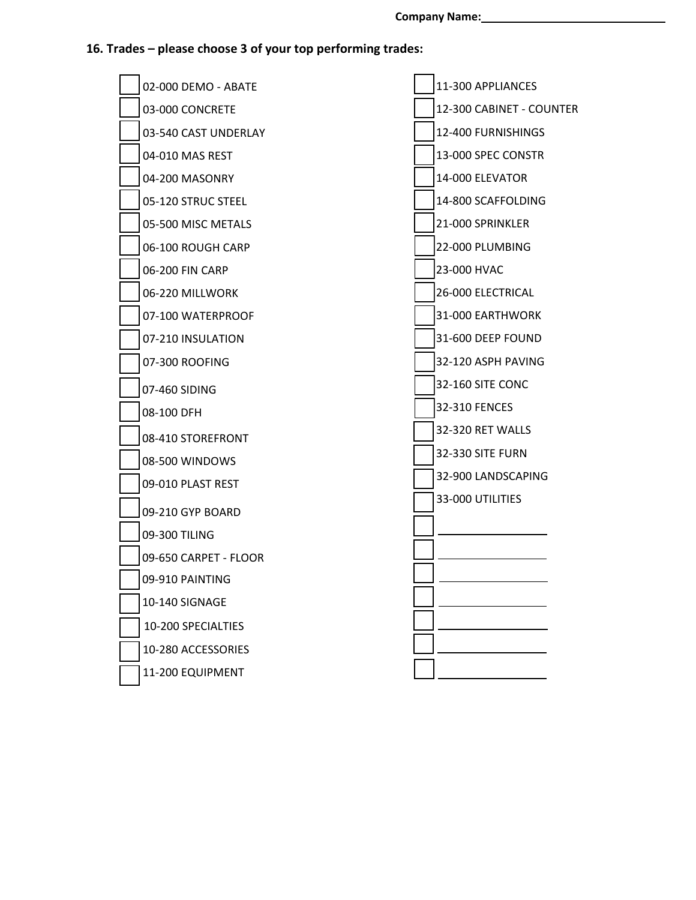# **16. Trades – please choose 3 of your top performing trades:**

|  | 02-000 DEMO - ABATE   | 11-300 APPLIANCES        |
|--|-----------------------|--------------------------|
|  | 03-000 CONCRETE       | 12-300 CABINET - COUNTER |
|  | 03-540 CAST UNDERLAY  | 12-400 FURNISHINGS       |
|  | 04-010 MAS REST       | 13-000 SPEC CONSTR       |
|  | 04-200 MASONRY        | 14-000 ELEVATOR          |
|  | 05-120 STRUC STEEL    | 14-800 SCAFFOLDING       |
|  | 05-500 MISC METALS    | 21-000 SPRINKLER         |
|  | 06-100 ROUGH CARP     | 22-000 PLUMBING          |
|  | 06-200 FIN CARP       | 23-000 HVAC              |
|  | 06-220 MILLWORK       | 26-000 ELECTRICAL        |
|  | 07-100 WATERPROOF     | 31-000 EARTHWORK         |
|  | 07-210 INSULATION     | 31-600 DEEP FOUND        |
|  | 07-300 ROOFING        | 32-120 ASPH PAVING       |
|  | 07-460 SIDING         | 32-160 SITE CONC         |
|  | 08-100 DFH            | 32-310 FENCES            |
|  | 08-410 STOREFRONT     | 32-320 RET WALLS         |
|  | 08-500 WINDOWS        | 32-330 SITE FURN         |
|  | 09-010 PLAST REST     | 32-900 LANDSCAPING       |
|  | 09-210 GYP BOARD      | 33-000 UTILITIES         |
|  | 09-300 TILING         |                          |
|  | 09-650 CARPET - FLOOR |                          |
|  | 09-910 PAINTING       |                          |
|  | 10-140 SIGNAGE        |                          |
|  | 10-200 SPECIALTIES    |                          |
|  | 10-280 ACCESSORIES    |                          |
|  | 11-200 EQUIPMENT      |                          |
|  |                       |                          |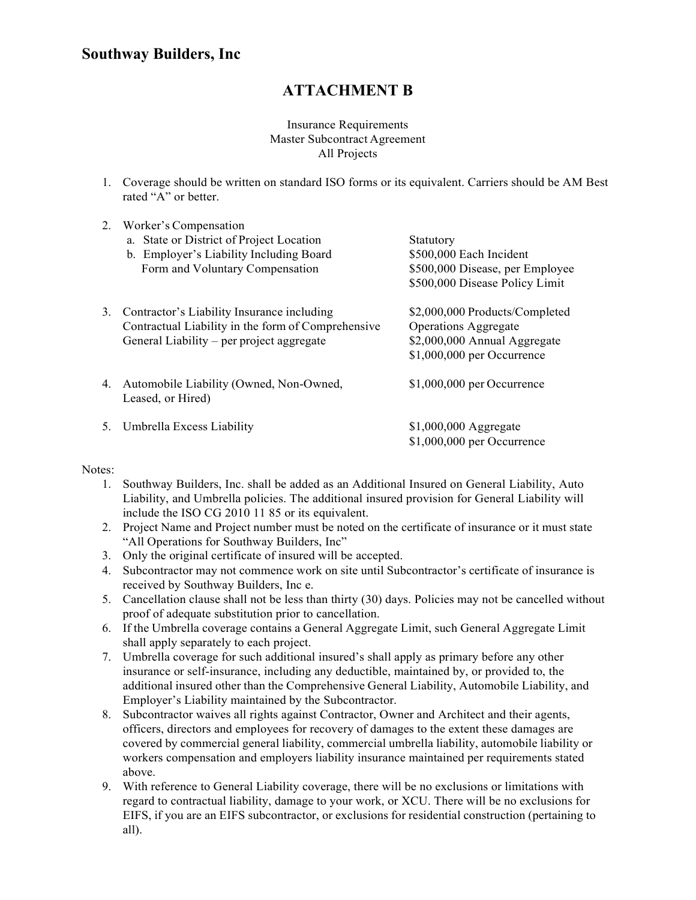# **ATTACHMENT B**

# Insurance Requirements Master Subcontract Agreement All Projects

1. Coverage should be written on standard ISO forms or its equivalent. Carriers should be AM Best rated "A" or better.

| 2. | Worker's Compensation                                                                                                                         |                                                                                                                              |
|----|-----------------------------------------------------------------------------------------------------------------------------------------------|------------------------------------------------------------------------------------------------------------------------------|
|    | a. State or District of Project Location                                                                                                      | Statutory                                                                                                                    |
|    | b. Employer's Liability Including Board                                                                                                       | \$500,000 Each Incident                                                                                                      |
|    | Form and Voluntary Compensation                                                                                                               | \$500,000 Disease, per Employee                                                                                              |
|    |                                                                                                                                               | \$500,000 Disease Policy Limit                                                                                               |
| 3. | Contractor's Liability Insurance including<br>Contractual Liability in the form of Comprehensive<br>General Liability – per project aggregate | \$2,000,000 Products/Completed<br><b>Operations Aggregate</b><br>\$2,000,000 Annual Aggregate<br>$$1,000,000$ per Occurrence |
| 4. | Automobile Liability (Owned, Non-Owned,<br>Leased, or Hired)                                                                                  | $$1,000,000$ per Occurrence                                                                                                  |
| 5. | Umbrella Excess Liability                                                                                                                     | $$1,000,000$ Aggregate<br>$$1,000,000$ per Occurrence                                                                        |

#### Notes:

- 1. Southway Builders, Inc. shall be added as an Additional Insured on General Liability, Auto Liability, and Umbrella policies. The additional insured provision for General Liability will include the ISO CG 2010 11 85 or its equivalent.
- 2. Project Name and Project number must be noted on the certificate of insurance or it must state "All Operations for Southway Builders, Inc"
- 3. Only the original certificate of insured will be accepted.
- 4. Subcontractor may not commence work on site until Subcontractor's certificate of insurance is received by Southway Builders, Inc e.
- 5. Cancellation clause shall not be less than thirty (30) days. Policies may not be cancelled without proof of adequate substitution prior to cancellation.
- 6. If the Umbrella coverage contains a General Aggregate Limit, such General Aggregate Limit shall apply separately to each project.
- 7. Umbrella coverage for such additional insured's shall apply as primary before any other insurance or self-insurance, including any deductible, maintained by, or provided to, the additional insured other than the Comprehensive General Liability, Automobile Liability, and Employer's Liability maintained by the Subcontractor.
- 8. Subcontractor waives all rights against Contractor, Owner and Architect and their agents, officers, directors and employees for recovery of damages to the extent these damages are covered by commercial general liability, commercial umbrella liability, automobile liability or workers compensation and employers liability insurance maintained per requirements stated above.
- 9. With reference to General Liability coverage, there will be no exclusions or limitations with regard to contractual liability, damage to your work, or XCU. There will be no exclusions for EIFS, if you are an EIFS subcontractor, or exclusions for residential construction (pertaining to all).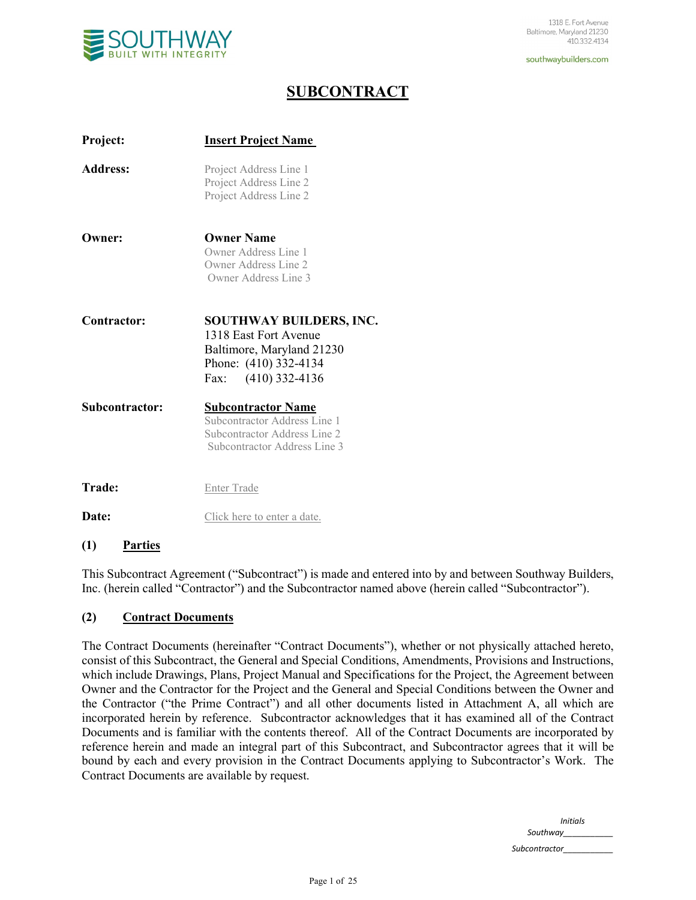

# **SUBCONTRACT**

| Project:        | <b>Insert Project Name</b>                                                                                                           |
|-----------------|--------------------------------------------------------------------------------------------------------------------------------------|
| <b>Address:</b> | Project Address Line 1<br>Project Address Line 2<br>Project Address Line 2                                                           |
| Owner:          | <b>Owner Name</b><br>Owner Address Line 1<br>Owner Address Line 2<br>Owner Address Line 3                                            |
| Contractor:     | <b>SOUTHWAY BUILDERS, INC.</b><br>1318 East Fort Avenue<br>Baltimore, Maryland 21230<br>Phone: (410) 332-4134<br>Fax: (410) 332-4136 |
| Subcontractor:  | <b>Subcontractor Name</b><br>Subcontractor Address Line 1<br>Subcontractor Address Line 2<br>Subcontractor Address Line 3            |
| <b>Trade:</b>   | <b>Enter Trade</b>                                                                                                                   |
| Date:           | Click here to enter a date.                                                                                                          |
|                 |                                                                                                                                      |

#### **(1) Parties**

This Subcontract Agreement ("Subcontract") is made and entered into by and between Southway Builders, Inc. (herein called "Contractor") and the Subcontractor named above (herein called "Subcontractor").

#### **(2) Contract Documents**

The Contract Documents (hereinafter "Contract Documents"), whether or not physically attached hereto, consist of this Subcontract, the General and Special Conditions, Amendments, Provisions and Instructions, which include Drawings, Plans, Project Manual and Specifications for the Project, the Agreement between Owner and the Contractor for the Project and the General and Special Conditions between the Owner and the Contractor ("the Prime Contract") and all other documents listed in Attachment A, all which are incorporated herein by reference. Subcontractor acknowledges that it has examined all of the Contract Documents and is familiar with the contents thereof. All of the Contract Documents are incorporated by reference herein and made an integral part of this Subcontract, and Subcontractor agrees that it will be bound by each and every provision in the Contract Documents applying to Subcontractor's Work. The Contract Documents are available by request.

> *Initials Southway\_\_\_\_\_\_\_\_\_\_\_*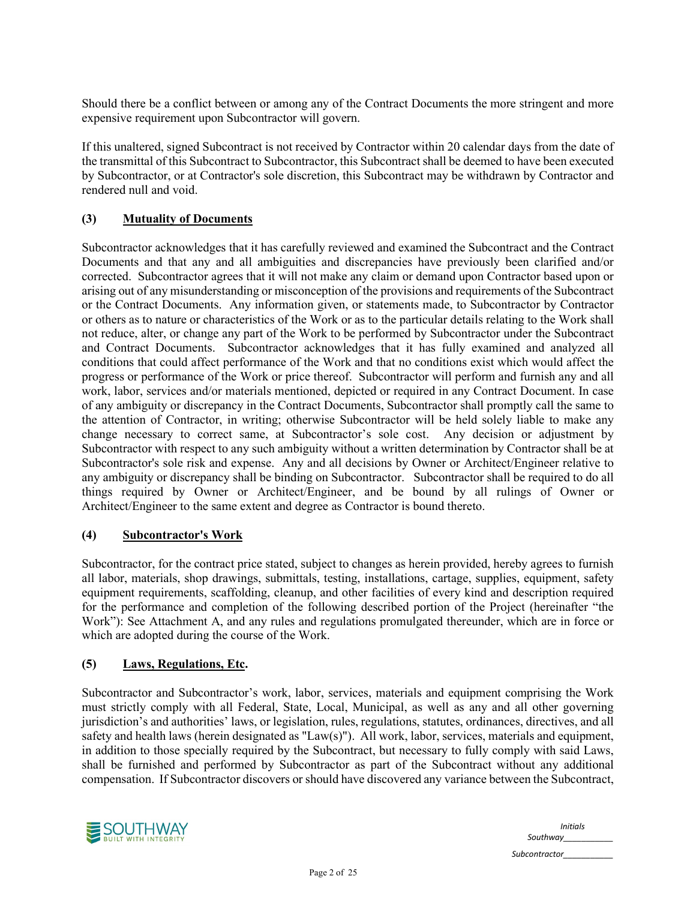Should there be a conflict between or among any of the Contract Documents the more stringent and more expensive requirement upon Subcontractor will govern.

If this unaltered, signed Subcontract is not received by Contractor within 20 calendar days from the date of the transmittal of this Subcontract to Subcontractor, this Subcontract shall be deemed to have been executed by Subcontractor, or at Contractor's sole discretion, this Subcontract may be withdrawn by Contractor and rendered null and void.

# **(3) Mutuality of Documents**

Subcontractor acknowledges that it has carefully reviewed and examined the Subcontract and the Contract Documents and that any and all ambiguities and discrepancies have previously been clarified and/or corrected. Subcontractor agrees that it will not make any claim or demand upon Contractor based upon or arising out of any misunderstanding or misconception of the provisions and requirements of the Subcontract or the Contract Documents. Any information given, or statements made, to Subcontractor by Contractor or others as to nature or characteristics of the Work or as to the particular details relating to the Work shall not reduce, alter, or change any part of the Work to be performed by Subcontractor under the Subcontract and Contract Documents. Subcontractor acknowledges that it has fully examined and analyzed all conditions that could affect performance of the Work and that no conditions exist which would affect the progress or performance of the Work or price thereof. Subcontractor will perform and furnish any and all work, labor, services and/or materials mentioned, depicted or required in any Contract Document. In case of any ambiguity or discrepancy in the Contract Documents, Subcontractor shall promptly call the same to the attention of Contractor, in writing; otherwise Subcontractor will be held solely liable to make any change necessary to correct same, at Subcontractor's sole cost. Any decision or adjustment by Subcontractor with respect to any such ambiguity without a written determination by Contractor shall be at Subcontractor's sole risk and expense. Any and all decisions by Owner or Architect/Engineer relative to any ambiguity or discrepancy shall be binding on Subcontractor. Subcontractor shall be required to do all things required by Owner or Architect/Engineer, and be bound by all rulings of Owner or Architect/Engineer to the same extent and degree as Contractor is bound thereto.

#### **(4) Subcontractor's Work**

Subcontractor, for the contract price stated, subject to changes as herein provided, hereby agrees to furnish all labor, materials, shop drawings, submittals, testing, installations, cartage, supplies, equipment, safety equipment requirements, scaffolding, cleanup, and other facilities of every kind and description required for the performance and completion of the following described portion of the Project (hereinafter "the Work"): See Attachment A, and any rules and regulations promulgated thereunder, which are in force or which are adopted during the course of the Work.

#### **(5) Laws, Regulations, Etc.**

Subcontractor and Subcontractor's work, labor, services, materials and equipment comprising the Work must strictly comply with all Federal, State, Local, Municipal, as well as any and all other governing jurisdiction's and authorities' laws, or legislation, rules, regulations, statutes, ordinances, directives, and all safety and health laws (herein designated as "Law(s)"). All work, labor, services, materials and equipment, in addition to those specially required by the Subcontract, but necessary to fully comply with said Laws, shall be furnished and performed by Subcontractor as part of the Subcontract without any additional compensation. If Subcontractor discovers or should have discovered any variance between the Subcontract,



*Initials Southway\_\_\_\_\_\_\_\_\_\_\_ Subcontractor\_\_\_\_\_\_\_\_\_\_\_*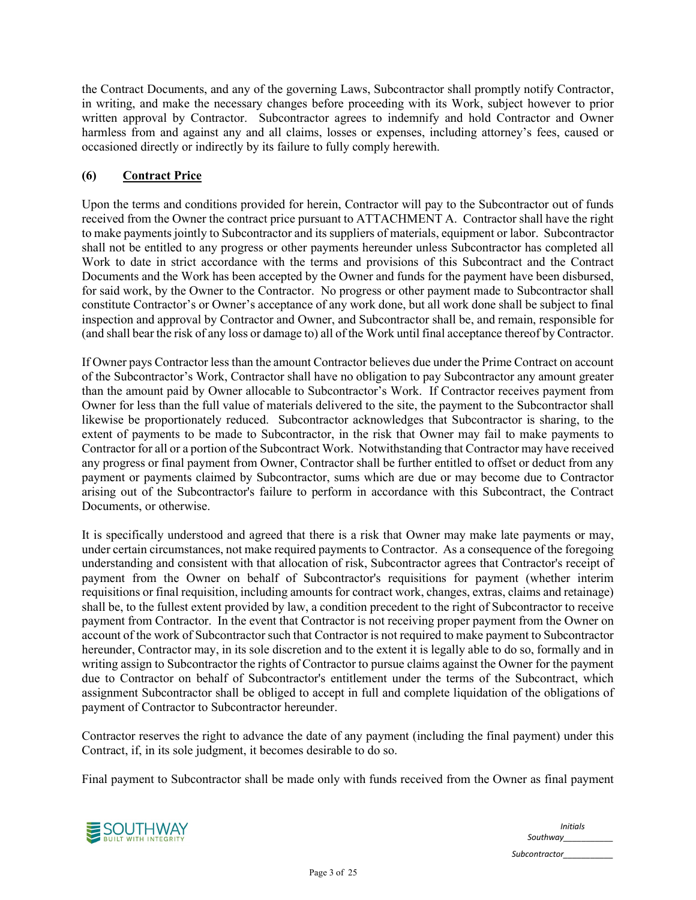the Contract Documents, and any of the governing Laws, Subcontractor shall promptly notify Contractor, in writing, and make the necessary changes before proceeding with its Work, subject however to prior written approval by Contractor. Subcontractor agrees to indemnify and hold Contractor and Owner harmless from and against any and all claims, losses or expenses, including attorney's fees, caused or occasioned directly or indirectly by its failure to fully comply herewith.

# **(6) Contract Price**

Upon the terms and conditions provided for herein, Contractor will pay to the Subcontractor out of funds received from the Owner the contract price pursuant to ATTACHMENT A. Contractor shall have the right to make payments jointly to Subcontractor and its suppliers of materials, equipment or labor. Subcontractor shall not be entitled to any progress or other payments hereunder unless Subcontractor has completed all Work to date in strict accordance with the terms and provisions of this Subcontract and the Contract Documents and the Work has been accepted by the Owner and funds for the payment have been disbursed, for said work, by the Owner to the Contractor. No progress or other payment made to Subcontractor shall constitute Contractor's or Owner's acceptance of any work done, but all work done shall be subject to final inspection and approval by Contractor and Owner, and Subcontractor shall be, and remain, responsible for (and shall bear the risk of any loss or damage to) all of the Work until final acceptance thereof by Contractor.

If Owner pays Contractor less than the amount Contractor believes due under the Prime Contract on account of the Subcontractor's Work, Contractor shall have no obligation to pay Subcontractor any amount greater than the amount paid by Owner allocable to Subcontractor's Work. If Contractor receives payment from Owner for less than the full value of materials delivered to the site, the payment to the Subcontractor shall likewise be proportionately reduced. Subcontractor acknowledges that Subcontractor is sharing, to the extent of payments to be made to Subcontractor, in the risk that Owner may fail to make payments to Contractor for all or a portion of the Subcontract Work. Notwithstanding that Contractor may have received any progress or final payment from Owner, Contractor shall be further entitled to offset or deduct from any payment or payments claimed by Subcontractor, sums which are due or may become due to Contractor arising out of the Subcontractor's failure to perform in accordance with this Subcontract, the Contract Documents, or otherwise.

It is specifically understood and agreed that there is a risk that Owner may make late payments or may, under certain circumstances, not make required payments to Contractor. As a consequence of the foregoing understanding and consistent with that allocation of risk, Subcontractor agrees that Contractor's receipt of payment from the Owner on behalf of Subcontractor's requisitions for payment (whether interim requisitions or final requisition, including amounts for contract work, changes, extras, claims and retainage) shall be, to the fullest extent provided by law, a condition precedent to the right of Subcontractor to receive payment from Contractor. In the event that Contractor is not receiving proper payment from the Owner on account of the work of Subcontractor such that Contractor is not required to make payment to Subcontractor hereunder, Contractor may, in its sole discretion and to the extent it is legally able to do so, formally and in writing assign to Subcontractor the rights of Contractor to pursue claims against the Owner for the payment due to Contractor on behalf of Subcontractor's entitlement under the terms of the Subcontract, which assignment Subcontractor shall be obliged to accept in full and complete liquidation of the obligations of payment of Contractor to Subcontractor hereunder.

Contractor reserves the right to advance the date of any payment (including the final payment) under this Contract, if, in its sole judgment, it becomes desirable to do so.

Final payment to Subcontractor shall be made only with funds received from the Owner as final payment



*Initials Southway\_\_\_\_\_\_\_\_\_\_\_ Subcontractor\_\_\_\_\_\_\_\_\_\_\_*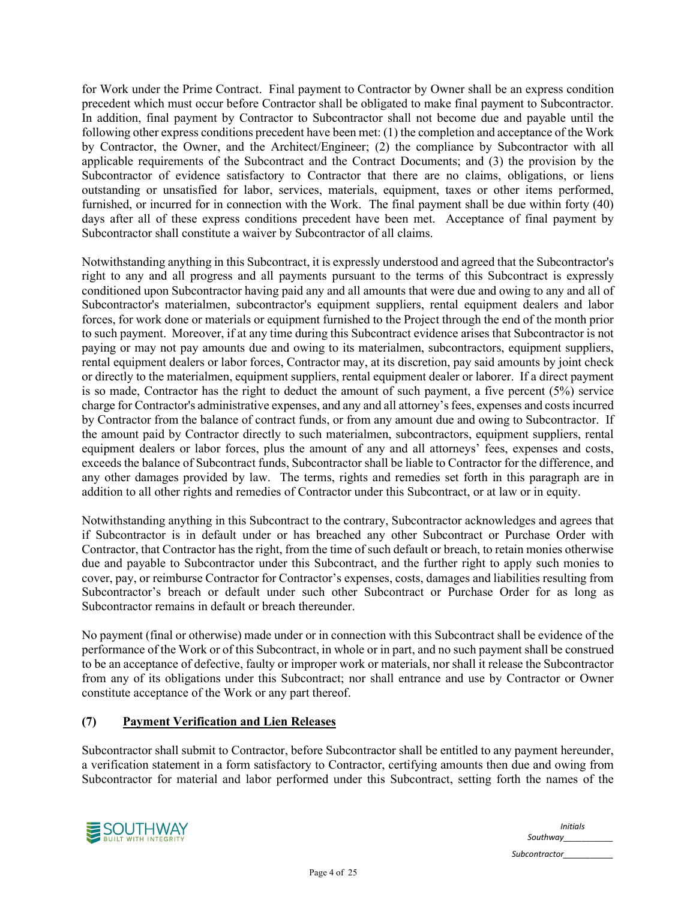for Work under the Prime Contract. Final payment to Contractor by Owner shall be an express condition precedent which must occur before Contractor shall be obligated to make final payment to Subcontractor. In addition, final payment by Contractor to Subcontractor shall not become due and payable until the following other express conditions precedent have been met: (1) the completion and acceptance of the Work by Contractor, the Owner, and the Architect/Engineer; (2) the compliance by Subcontractor with all applicable requirements of the Subcontract and the Contract Documents; and (3) the provision by the Subcontractor of evidence satisfactory to Contractor that there are no claims, obligations, or liens outstanding or unsatisfied for labor, services, materials, equipment, taxes or other items performed, furnished, or incurred for in connection with the Work. The final payment shall be due within forty (40) days after all of these express conditions precedent have been met. Acceptance of final payment by Subcontractor shall constitute a waiver by Subcontractor of all claims.

Notwithstanding anything in this Subcontract, it is expressly understood and agreed that the Subcontractor's right to any and all progress and all payments pursuant to the terms of this Subcontract is expressly conditioned upon Subcontractor having paid any and all amounts that were due and owing to any and all of Subcontractor's materialmen, subcontractor's equipment suppliers, rental equipment dealers and labor forces, for work done or materials or equipment furnished to the Project through the end of the month prior to such payment. Moreover, if at any time during this Subcontract evidence arises that Subcontractor is not paying or may not pay amounts due and owing to its materialmen, subcontractors, equipment suppliers, rental equipment dealers or labor forces, Contractor may, at its discretion, pay said amounts by joint check or directly to the materialmen, equipment suppliers, rental equipment dealer or laborer. If a direct payment is so made, Contractor has the right to deduct the amount of such payment, a five percent (5%) service charge for Contractor's administrative expenses, and any and all attorney's fees, expenses and costs incurred by Contractor from the balance of contract funds, or from any amount due and owing to Subcontractor. If the amount paid by Contractor directly to such materialmen, subcontractors, equipment suppliers, rental equipment dealers or labor forces, plus the amount of any and all attorneys' fees, expenses and costs, exceeds the balance of Subcontract funds, Subcontractor shall be liable to Contractor for the difference, and any other damages provided by law. The terms, rights and remedies set forth in this paragraph are in addition to all other rights and remedies of Contractor under this Subcontract, or at law or in equity.

Notwithstanding anything in this Subcontract to the contrary, Subcontractor acknowledges and agrees that if Subcontractor is in default under or has breached any other Subcontract or Purchase Order with Contractor, that Contractor has the right, from the time of such default or breach, to retain monies otherwise due and payable to Subcontractor under this Subcontract, and the further right to apply such monies to cover, pay, or reimburse Contractor for Contractor's expenses, costs, damages and liabilities resulting from Subcontractor's breach or default under such other Subcontract or Purchase Order for as long as Subcontractor remains in default or breach thereunder.

No payment (final or otherwise) made under or in connection with this Subcontract shall be evidence of the performance of the Work or of this Subcontract, in whole or in part, and no such payment shall be construed to be an acceptance of defective, faulty or improper work or materials, nor shall it release the Subcontractor from any of its obligations under this Subcontract; nor shall entrance and use by Contractor or Owner constitute acceptance of the Work or any part thereof.

#### **(7) Payment Verification and Lien Releases**

Subcontractor shall submit to Contractor, before Subcontractor shall be entitled to any payment hereunder, a verification statement in a form satisfactory to Contractor, certifying amounts then due and owing from Subcontractor for material and labor performed under this Subcontract, setting forth the names of the

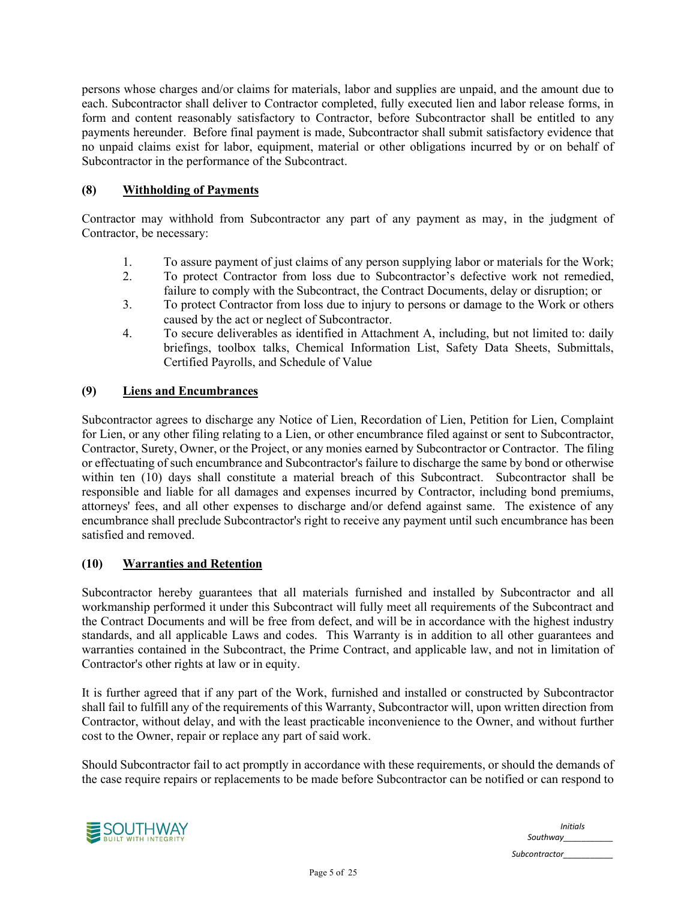persons whose charges and/or claims for materials, labor and supplies are unpaid, and the amount due to each. Subcontractor shall deliver to Contractor completed, fully executed lien and labor release forms, in form and content reasonably satisfactory to Contractor, before Subcontractor shall be entitled to any payments hereunder. Before final payment is made, Subcontractor shall submit satisfactory evidence that no unpaid claims exist for labor, equipment, material or other obligations incurred by or on behalf of Subcontractor in the performance of the Subcontract.

# **(8) Withholding of Payments**

Contractor may withhold from Subcontractor any part of any payment as may, in the judgment of Contractor, be necessary:

- 1. To assure payment of just claims of any person supplying labor or materials for the Work;
- 2. To protect Contractor from loss due to Subcontractor's defective work not remedied, failure to comply with the Subcontract, the Contract Documents, delay or disruption; or
- 3. To protect Contractor from loss due to injury to persons or damage to the Work or others caused by the act or neglect of Subcontractor.
- 4. To secure deliverables as identified in Attachment A, including, but not limited to: daily briefings, toolbox talks, Chemical Information List, Safety Data Sheets, Submittals, Certified Payrolls, and Schedule of Value

#### **(9) Liens and Encumbrances**

Subcontractor agrees to discharge any Notice of Lien, Recordation of Lien, Petition for Lien, Complaint for Lien, or any other filing relating to a Lien, or other encumbrance filed against or sent to Subcontractor, Contractor, Surety, Owner, or the Project, or any monies earned by Subcontractor or Contractor. The filing or effectuating of such encumbrance and Subcontractor's failure to discharge the same by bond or otherwise within ten (10) days shall constitute a material breach of this Subcontract. Subcontractor shall be responsible and liable for all damages and expenses incurred by Contractor, including bond premiums, attorneys' fees, and all other expenses to discharge and/or defend against same. The existence of any encumbrance shall preclude Subcontractor's right to receive any payment until such encumbrance has been satisfied and removed.

#### **(10) Warranties and Retention**

Subcontractor hereby guarantees that all materials furnished and installed by Subcontractor and all workmanship performed it under this Subcontract will fully meet all requirements of the Subcontract and the Contract Documents and will be free from defect, and will be in accordance with the highest industry standards, and all applicable Laws and codes. This Warranty is in addition to all other guarantees and warranties contained in the Subcontract, the Prime Contract, and applicable law, and not in limitation of Contractor's other rights at law or in equity.

It is further agreed that if any part of the Work, furnished and installed or constructed by Subcontractor shall fail to fulfill any of the requirements of this Warranty, Subcontractor will, upon written direction from Contractor, without delay, and with the least practicable inconvenience to the Owner, and without further cost to the Owner, repair or replace any part of said work.

Should Subcontractor fail to act promptly in accordance with these requirements, or should the demands of the case require repairs or replacements to be made before Subcontractor can be notified or can respond to



*Initials Southway\_\_\_\_\_\_\_\_\_\_\_*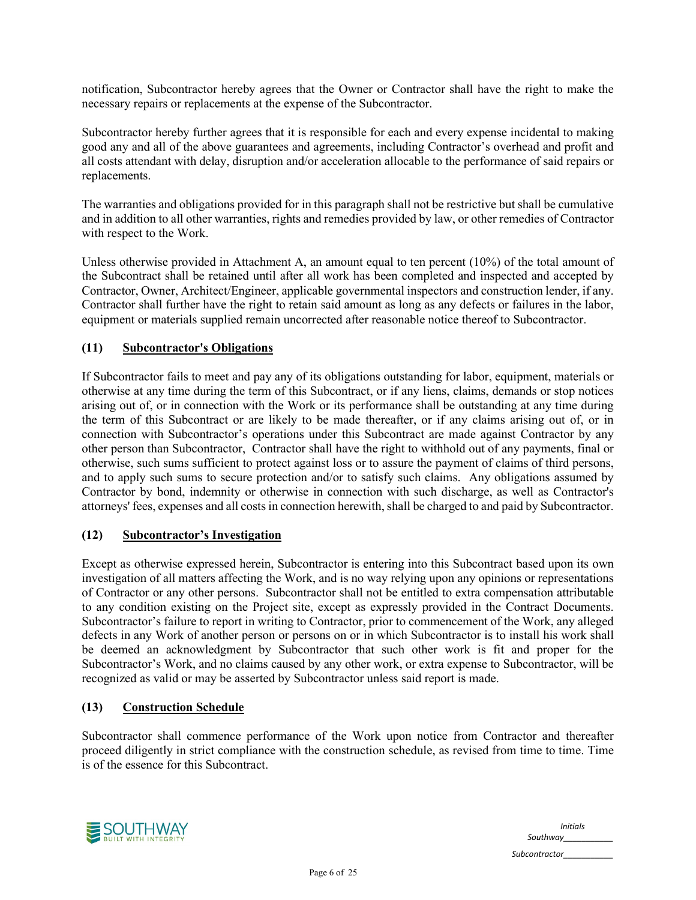notification, Subcontractor hereby agrees that the Owner or Contractor shall have the right to make the necessary repairs or replacements at the expense of the Subcontractor.

Subcontractor hereby further agrees that it is responsible for each and every expense incidental to making good any and all of the above guarantees and agreements, including Contractor's overhead and profit and all costs attendant with delay, disruption and/or acceleration allocable to the performance of said repairs or replacements.

The warranties and obligations provided for in this paragraph shall not be restrictive but shall be cumulative and in addition to all other warranties, rights and remedies provided by law, or other remedies of Contractor with respect to the Work.

Unless otherwise provided in Attachment A, an amount equal to ten percent (10%) of the total amount of the Subcontract shall be retained until after all work has been completed and inspected and accepted by Contractor, Owner, Architect/Engineer, applicable governmental inspectors and construction lender, if any. Contractor shall further have the right to retain said amount as long as any defects or failures in the labor, equipment or materials supplied remain uncorrected after reasonable notice thereof to Subcontractor.

## **(11) Subcontractor's Obligations**

If Subcontractor fails to meet and pay any of its obligations outstanding for labor, equipment, materials or otherwise at any time during the term of this Subcontract, or if any liens, claims, demands or stop notices arising out of, or in connection with the Work or its performance shall be outstanding at any time during the term of this Subcontract or are likely to be made thereafter, or if any claims arising out of, or in connection with Subcontractor's operations under this Subcontract are made against Contractor by any other person than Subcontractor, Contractor shall have the right to withhold out of any payments, final or otherwise, such sums sufficient to protect against loss or to assure the payment of claims of third persons, and to apply such sums to secure protection and/or to satisfy such claims. Any obligations assumed by Contractor by bond, indemnity or otherwise in connection with such discharge, as well as Contractor's attorneys' fees, expenses and all costs in connection herewith, shall be charged to and paid by Subcontractor.

#### **(12) Subcontractor's Investigation**

Except as otherwise expressed herein, Subcontractor is entering into this Subcontract based upon its own investigation of all matters affecting the Work, and is no way relying upon any opinions or representations of Contractor or any other persons. Subcontractor shall not be entitled to extra compensation attributable to any condition existing on the Project site, except as expressly provided in the Contract Documents. Subcontractor's failure to report in writing to Contractor, prior to commencement of the Work, any alleged defects in any Work of another person or persons on or in which Subcontractor is to install his work shall be deemed an acknowledgment by Subcontractor that such other work is fit and proper for the Subcontractor's Work, and no claims caused by any other work, or extra expense to Subcontractor, will be recognized as valid or may be asserted by Subcontractor unless said report is made.

#### **(13) Construction Schedule**

Subcontractor shall commence performance of the Work upon notice from Contractor and thereafter proceed diligently in strict compliance with the construction schedule, as revised from time to time. Time is of the essence for this Subcontract.



*Initials Southway\_\_\_\_\_\_\_\_\_\_\_*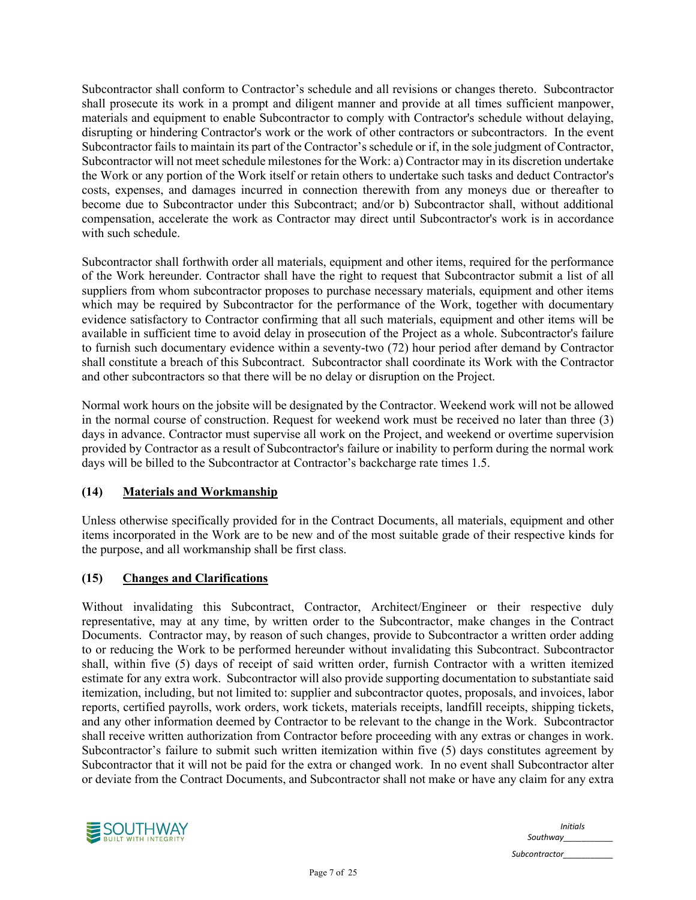Subcontractor shall conform to Contractor's schedule and all revisions or changes thereto. Subcontractor shall prosecute its work in a prompt and diligent manner and provide at all times sufficient manpower, materials and equipment to enable Subcontractor to comply with Contractor's schedule without delaying, disrupting or hindering Contractor's work or the work of other contractors or subcontractors. In the event Subcontractor fails to maintain its part of the Contractor's schedule or if, in the sole judgment of Contractor, Subcontractor will not meet schedule milestones for the Work: a) Contractor may in its discretion undertake the Work or any portion of the Work itself or retain others to undertake such tasks and deduct Contractor's costs, expenses, and damages incurred in connection therewith from any moneys due or thereafter to become due to Subcontractor under this Subcontract; and/or b) Subcontractor shall, without additional compensation, accelerate the work as Contractor may direct until Subcontractor's work is in accordance with such schedule.

Subcontractor shall forthwith order all materials, equipment and other items, required for the performance of the Work hereunder. Contractor shall have the right to request that Subcontractor submit a list of all suppliers from whom subcontractor proposes to purchase necessary materials, equipment and other items which may be required by Subcontractor for the performance of the Work, together with documentary evidence satisfactory to Contractor confirming that all such materials, equipment and other items will be available in sufficient time to avoid delay in prosecution of the Project as a whole. Subcontractor's failure to furnish such documentary evidence within a seventy-two (72) hour period after demand by Contractor shall constitute a breach of this Subcontract. Subcontractor shall coordinate its Work with the Contractor and other subcontractors so that there will be no delay or disruption on the Project.

Normal work hours on the jobsite will be designated by the Contractor. Weekend work will not be allowed in the normal course of construction. Request for weekend work must be received no later than three (3) days in advance. Contractor must supervise all work on the Project, and weekend or overtime supervision provided by Contractor as a result of Subcontractor's failure or inability to perform during the normal work days will be billed to the Subcontractor at Contractor's backcharge rate times 1.5.

# **(14) Materials and Workmanship**

Unless otherwise specifically provided for in the Contract Documents, all materials, equipment and other items incorporated in the Work are to be new and of the most suitable grade of their respective kinds for the purpose, and all workmanship shall be first class.

# **(15) Changes and Clarifications**

Without invalidating this Subcontract, Contractor, Architect/Engineer or their respective duly representative, may at any time, by written order to the Subcontractor, make changes in the Contract Documents. Contractor may, by reason of such changes, provide to Subcontractor a written order adding to or reducing the Work to be performed hereunder without invalidating this Subcontract. Subcontractor shall, within five (5) days of receipt of said written order, furnish Contractor with a written itemized estimate for any extra work. Subcontractor will also provide supporting documentation to substantiate said itemization, including, but not limited to: supplier and subcontractor quotes, proposals, and invoices, labor reports, certified payrolls, work orders, work tickets, materials receipts, landfill receipts, shipping tickets, and any other information deemed by Contractor to be relevant to the change in the Work. Subcontractor shall receive written authorization from Contractor before proceeding with any extras or changes in work. Subcontractor's failure to submit such written itemization within five (5) days constitutes agreement by Subcontractor that it will not be paid for the extra or changed work. In no event shall Subcontractor alter or deviate from the Contract Documents, and Subcontractor shall not make or have any claim for any extra



*Initials Southway\_\_\_\_\_\_\_\_\_\_\_ Subcontractor\_\_\_\_\_\_\_\_\_\_\_*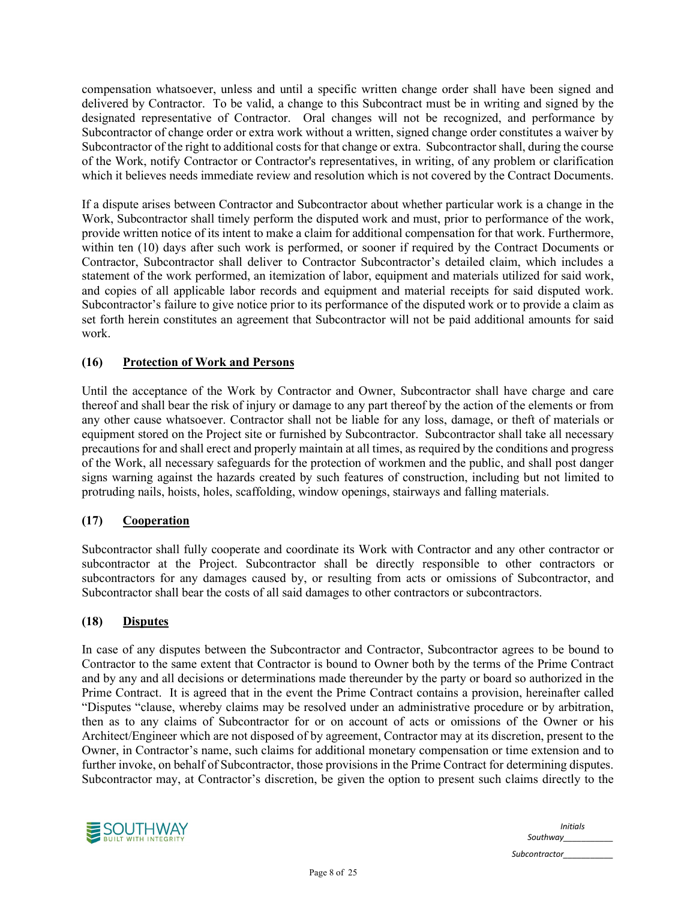compensation whatsoever, unless and until a specific written change order shall have been signed and delivered by Contractor. To be valid, a change to this Subcontract must be in writing and signed by the designated representative of Contractor. Oral changes will not be recognized, and performance by Subcontractor of change order or extra work without a written, signed change order constitutes a waiver by Subcontractor of the right to additional costs for that change or extra. Subcontractor shall, during the course of the Work, notify Contractor or Contractor's representatives, in writing, of any problem or clarification which it believes needs immediate review and resolution which is not covered by the Contract Documents.

If a dispute arises between Contractor and Subcontractor about whether particular work is a change in the Work, Subcontractor shall timely perform the disputed work and must, prior to performance of the work, provide written notice of its intent to make a claim for additional compensation for that work. Furthermore, within ten (10) days after such work is performed, or sooner if required by the Contract Documents or Contractor, Subcontractor shall deliver to Contractor Subcontractor's detailed claim, which includes a statement of the work performed, an itemization of labor, equipment and materials utilized for said work, and copies of all applicable labor records and equipment and material receipts for said disputed work. Subcontractor's failure to give notice prior to its performance of the disputed work or to provide a claim as set forth herein constitutes an agreement that Subcontractor will not be paid additional amounts for said work.

# **(16) Protection of Work and Persons**

Until the acceptance of the Work by Contractor and Owner, Subcontractor shall have charge and care thereof and shall bear the risk of injury or damage to any part thereof by the action of the elements or from any other cause whatsoever. Contractor shall not be liable for any loss, damage, or theft of materials or equipment stored on the Project site or furnished by Subcontractor. Subcontractor shall take all necessary precautions for and shall erect and properly maintain at all times, as required by the conditions and progress of the Work, all necessary safeguards for the protection of workmen and the public, and shall post danger signs warning against the hazards created by such features of construction, including but not limited to protruding nails, hoists, holes, scaffolding, window openings, stairways and falling materials.

# **(17) Cooperation**

Subcontractor shall fully cooperate and coordinate its Work with Contractor and any other contractor or subcontractor at the Project. Subcontractor shall be directly responsible to other contractors or subcontractors for any damages caused by, or resulting from acts or omissions of Subcontractor, and Subcontractor shall bear the costs of all said damages to other contractors or subcontractors.

# **(18) Disputes**

In case of any disputes between the Subcontractor and Contractor, Subcontractor agrees to be bound to Contractor to the same extent that Contractor is bound to Owner both by the terms of the Prime Contract and by any and all decisions or determinations made thereunder by the party or board so authorized in the Prime Contract. It is agreed that in the event the Prime Contract contains a provision, hereinafter called "Disputes "clause, whereby claims may be resolved under an administrative procedure or by arbitration, then as to any claims of Subcontractor for or on account of acts or omissions of the Owner or his Architect/Engineer which are not disposed of by agreement, Contractor may at its discretion, present to the Owner, in Contractor's name, such claims for additional monetary compensation or time extension and to further invoke, on behalf of Subcontractor, those provisions in the Prime Contract for determining disputes. Subcontractor may, at Contractor's discretion, be given the option to present such claims directly to the



*Initials Southway\_\_\_\_\_\_\_\_\_\_\_ Subcontractor\_\_\_\_\_\_\_\_\_\_\_*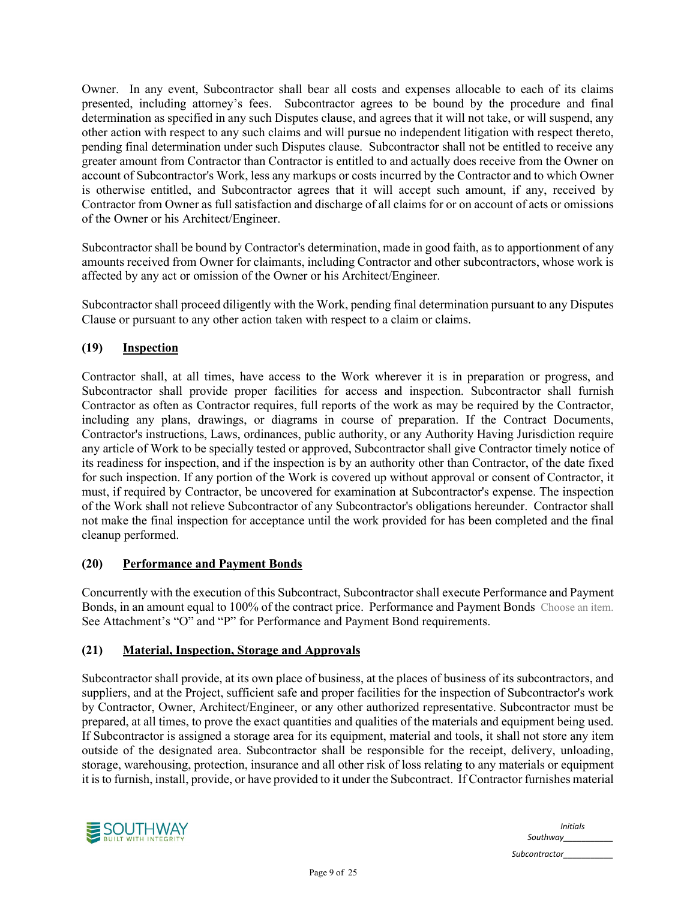Owner. In any event, Subcontractor shall bear all costs and expenses allocable to each of its claims presented, including attorney's fees. Subcontractor agrees to be bound by the procedure and final determination as specified in any such Disputes clause, and agrees that it will not take, or will suspend, any other action with respect to any such claims and will pursue no independent litigation with respect thereto, pending final determination under such Disputes clause. Subcontractor shall not be entitled to receive any greater amount from Contractor than Contractor is entitled to and actually does receive from the Owner on account of Subcontractor's Work, less any markups or costs incurred by the Contractor and to which Owner is otherwise entitled, and Subcontractor agrees that it will accept such amount, if any, received by Contractor from Owner as full satisfaction and discharge of all claims for or on account of acts or omissions of the Owner or his Architect/Engineer.

Subcontractor shall be bound by Contractor's determination, made in good faith, as to apportionment of any amounts received from Owner for claimants, including Contractor and other subcontractors, whose work is affected by any act or omission of the Owner or his Architect/Engineer.

Subcontractor shall proceed diligently with the Work, pending final determination pursuant to any Disputes Clause or pursuant to any other action taken with respect to a claim or claims.

# **(19) Inspection**

Contractor shall, at all times, have access to the Work wherever it is in preparation or progress, and Subcontractor shall provide proper facilities for access and inspection. Subcontractor shall furnish Contractor as often as Contractor requires, full reports of the work as may be required by the Contractor, including any plans, drawings, or diagrams in course of preparation. If the Contract Documents, Contractor's instructions, Laws, ordinances, public authority, or any Authority Having Jurisdiction require any article of Work to be specially tested or approved, Subcontractor shall give Contractor timely notice of its readiness for inspection, and if the inspection is by an authority other than Contractor, of the date fixed for such inspection. If any portion of the Work is covered up without approval or consent of Contractor, it must, if required by Contractor, be uncovered for examination at Subcontractor's expense. The inspection of the Work shall not relieve Subcontractor of any Subcontractor's obligations hereunder. Contractor shall not make the final inspection for acceptance until the work provided for has been completed and the final cleanup performed.

# **(20) Performance and Payment Bonds**

Concurrently with the execution of this Subcontract, Subcontractor shall execute Performance and Payment Bonds, in an amount equal to 100% of the contract price. Performance and Payment Bonds Choose an item. See Attachment's "O" and "P" for Performance and Payment Bond requirements.

# **(21) Material, Inspection, Storage and Approvals**

Subcontractor shall provide, at its own place of business, at the places of business of its subcontractors, and suppliers, and at the Project, sufficient safe and proper facilities for the inspection of Subcontractor's work by Contractor, Owner, Architect/Engineer, or any other authorized representative. Subcontractor must be prepared, at all times, to prove the exact quantities and qualities of the materials and equipment being used. If Subcontractor is assigned a storage area for its equipment, material and tools, it shall not store any item outside of the designated area. Subcontractor shall be responsible for the receipt, delivery, unloading, storage, warehousing, protection, insurance and all other risk of loss relating to any materials or equipment it is to furnish, install, provide, or have provided to it under the Subcontract. If Contractor furnishes material



*Initials Southway\_\_\_\_\_\_\_\_\_\_\_*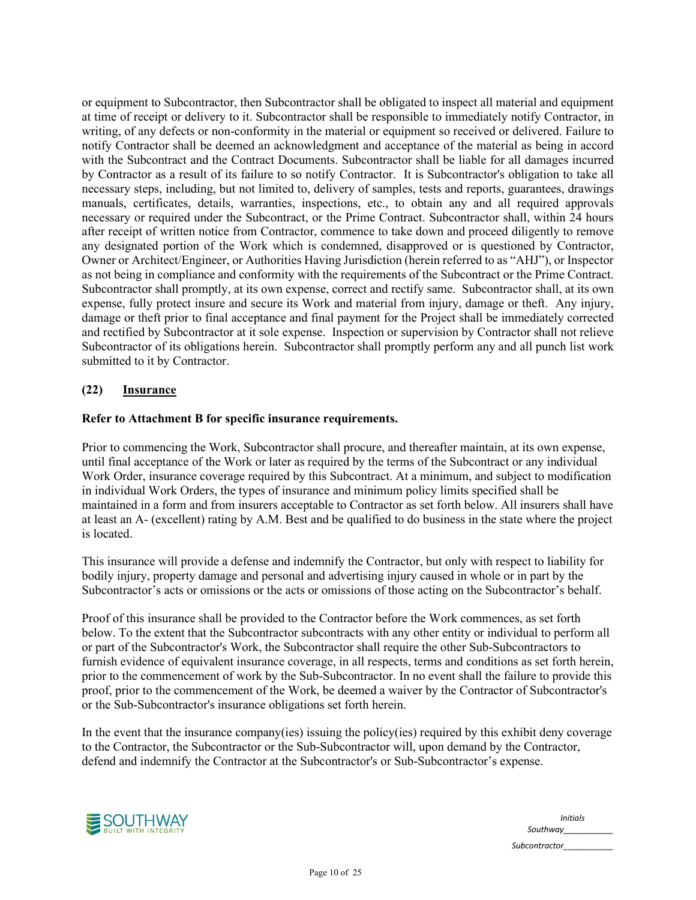or equipment to Subcontractor, then Subcontractor shall be obligated to inspect all material and equipment at time of receipt or delivery to it. Subcontractor shall be responsible to immediately notify Contractor, in writing, of any defects or non-conformity in the material or equipment so received or delivered. Failure to notify Contractor shall be deemed an acknowledgment and acceptance of the material as being in accord with the Subcontract and the Contract Documents. Subcontractor shall be liable for all damages incurred by Contractor as a result of its failure to so notify Contractor. It is Subcontractor's obligation to take all necessary steps, including, but not limited to, delivery of samples, tests and reports, guarantees, drawings manuals, certificates, details, warranties, inspections, etc., to obtain any and all required approvals necessary or required under the Subcontract, or the Prime Contract. Subcontractor shall, within 24 hours after receipt of written notice from Contractor, commence to take down and proceed diligently to remove any designated portion of the Work which is condemned, disapproved or is questioned by Contractor, Owner or Architect/Engineer, or Authorities Having Jurisdiction (herein referred to as "AHJ"), or Inspector as not being in compliance and conformity with the requirements of the Subcontract or the Prime Contract. Subcontractor shall promptly, at its own expense, correct and rectify same. Subcontractor shall, at its own expense, fully protect insure and secure its Work and material from injury, damage or theft. Any injury, damage or theft prior to final acceptance and final payment for the Project shall be immediately corrected and rectified by Subcontractor at it sole expense. Inspection or supervision by Contractor shall not relieve Subcontractor of its obligations herein. Subcontractor shall promptly perform any and all punch list work submitted to it by Contractor.

## **(22) Insurance**

#### **Refer to Attachment B for specific insurance requirements.**

Prior to commencing the Work, Subcontractor shall procure, and thereafter maintain, at its own expense, until final acceptance of the Work or later as required by the terms of the Subcontract or any individual Work Order, insurance coverage required by this Subcontract. At a minimum, and subject to modification in individual Work Orders, the types of insurance and minimum policy limits specified shall be maintained in a form and from insurers acceptable to Contractor as set forth below. All insurers shall have at least an A- (excellent) rating by A.M. Best and be qualified to do business in the state where the project is located.

This insurance will provide a defense and indemnify the Contractor, but only with respect to liability for bodily injury, property damage and personal and advertising injury caused in whole or in part by the Subcontractor's acts or omissions or the acts or omissions of those acting on the Subcontractor's behalf.

Proof of this insurance shall be provided to the Contractor before the Work commences, as set forth below. To the extent that the Subcontractor subcontracts with any other entity or individual to perform all or part of the Subcontractor's Work, the Subcontractor shall require the other Sub-Subcontractors to furnish evidence of equivalent insurance coverage, in all respects, terms and conditions as set forth herein, prior to the commencement of work by the Sub-Subcontractor. In no event shall the failure to provide this proof, prior to the commencement of the Work, be deemed a waiver by the Contractor of Subcontractor's or the Sub-Subcontractor's insurance obligations set forth herein.

In the event that the insurance company(ies) issuing the policy(ies) required by this exhibit deny coverage to the Contractor, the Subcontractor or the Sub-Subcontractor will, upon demand by the Contractor, defend and indemnify the Contractor at the Subcontractor's or Sub-Subcontractor's expense.



|               | <i>Initials</i> |
|---------------|-----------------|
| Southway      |                 |
| Subcontractor |                 |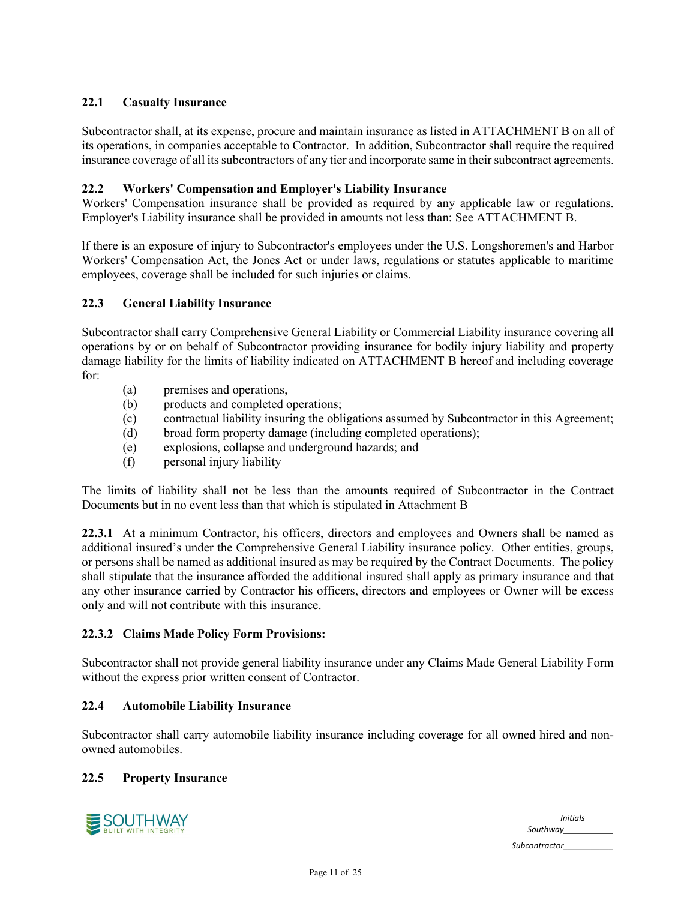# **22.1 Casualty Insurance**

Subcontractor shall, at its expense, procure and maintain insurance as listed in ATTACHMENT B on all of its operations, in companies acceptable to Contractor. In addition, Subcontractor shall require the required insurance coverage of all its subcontractors of any tier and incorporate same in their subcontract agreements.

# **22.2 Workers' Compensation and Employer's Liability Insurance**

Workers' Compensation insurance shall be provided as required by any applicable law or regulations. Employer's Liability insurance shall be provided in amounts not less than: See ATTACHMENT B.

lf there is an exposure of injury to Subcontractor's employees under the U.S. Longshoremen's and Harbor Workers' Compensation Act, the Jones Act or under laws, regulations or statutes applicable to maritime employees, coverage shall be included for such injuries or claims.

## **22.3 General Liability Insurance**

Subcontractor shall carry Comprehensive General Liability or Commercial Liability insurance covering all operations by or on behalf of Subcontractor providing insurance for bodily injury liability and property damage liability for the limits of liability indicated on ATTACHMENT B hereof and including coverage for:

- (a) premises and operations,
- (b) products and completed operations;
- (c) contractual liability insuring the obligations assumed by Subcontractor in this Agreement;
- (d) broad form property damage (including completed operations);
- (e) explosions, collapse and underground hazards; and
- (f) personal injury liability

The limits of liability shall not be less than the amounts required of Subcontractor in the Contract Documents but in no event less than that which is stipulated in Attachment B

**22.3.1** At a minimum Contractor, his officers, directors and employees and Owners shall be named as additional insured's under the Comprehensive General Liability insurance policy. Other entities, groups, or persons shall be named as additional insured as may be required by the Contract Documents. The policy shall stipulate that the insurance afforded the additional insured shall apply as primary insurance and that any other insurance carried by Contractor his officers, directors and employees or Owner will be excess only and will not contribute with this insurance.

# **22.3.2 Claims Made Policy Form Provisions:**

Subcontractor shall not provide general liability insurance under any Claims Made General Liability Form without the express prior written consent of Contractor.

#### **22.4 Automobile Liability Insurance**

Subcontractor shall carry automobile liability insurance including coverage for all owned hired and nonowned automobiles.

#### **22.5 Property Insurance**



*Initials Southway\_\_\_\_\_\_\_\_\_\_\_*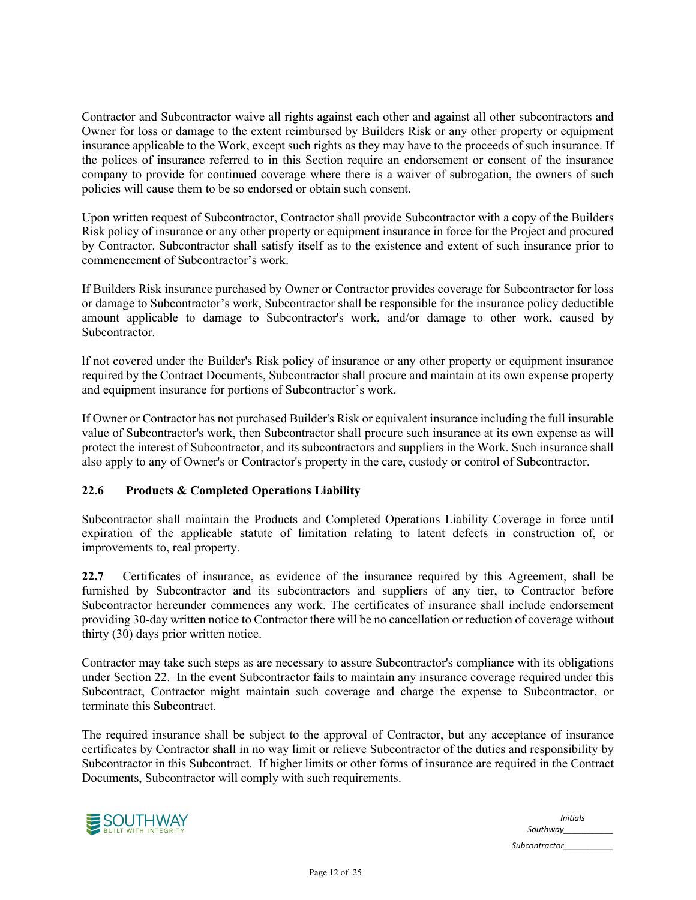Contractor and Subcontractor waive all rights against each other and against all other subcontractors and Owner for loss or damage to the extent reimbursed by Builders Risk or any other property or equipment insurance applicable to the Work, except such rights as they may have to the proceeds of such insurance. If the polices of insurance referred to in this Section require an endorsement or consent of the insurance company to provide for continued coverage where there is a waiver of subrogation, the owners of such policies will cause them to be so endorsed or obtain such consent.

Upon written request of Subcontractor, Contractor shall provide Subcontractor with a copy of the Builders Risk policy of insurance or any other property or equipment insurance in force for the Project and procured by Contractor. Subcontractor shall satisfy itself as to the existence and extent of such insurance prior to commencement of Subcontractor's work.

If Builders Risk insurance purchased by Owner or Contractor provides coverage for Subcontractor for loss or damage to Subcontractor's work, Subcontractor shall be responsible for the insurance policy deductible amount applicable to damage to Subcontractor's work, and/or damage to other work, caused by Subcontractor.

lf not covered under the Builder's Risk policy of insurance or any other property or equipment insurance required by the Contract Documents, Subcontractor shall procure and maintain at its own expense property and equipment insurance for portions of Subcontractor's work.

If Owner or Contractor has not purchased Builder's Risk or equivalent insurance including the full insurable value of Subcontractor's work, then Subcontractor shall procure such insurance at its own expense as will protect the interest of Subcontractor, and its subcontractors and suppliers in the Work. Such insurance shall also apply to any of Owner's or Contractor's property in the care, custody or control of Subcontractor.

# **22.6 Products & Completed Operations Liability**

Subcontractor shall maintain the Products and Completed Operations Liability Coverage in force until expiration of the applicable statute of limitation relating to latent defects in construction of, or improvements to, real property.

**22.7** Certificates of insurance, as evidence of the insurance required by this Agreement, shall be furnished by Subcontractor and its subcontractors and suppliers of any tier, to Contractor before Subcontractor hereunder commences any work. The certificates of insurance shall include endorsement providing 30-day written notice to Contractor there will be no cancellation or reduction of coverage without thirty (30) days prior written notice.

Contractor may take such steps as are necessary to assure Subcontractor's compliance with its obligations under Section 22. In the event Subcontractor fails to maintain any insurance coverage required under this Subcontract, Contractor might maintain such coverage and charge the expense to Subcontractor, or terminate this Subcontract.

The required insurance shall be subject to the approval of Contractor, but any acceptance of insurance certificates by Contractor shall in no way limit or relieve Subcontractor of the duties and responsibility by Subcontractor in this Subcontract. If higher limits or other forms of insurance are required in the Contract Documents, Subcontractor will comply with such requirements.



| <b>Initials</b> |
|-----------------|
| Southway        |
| Subcontractor   |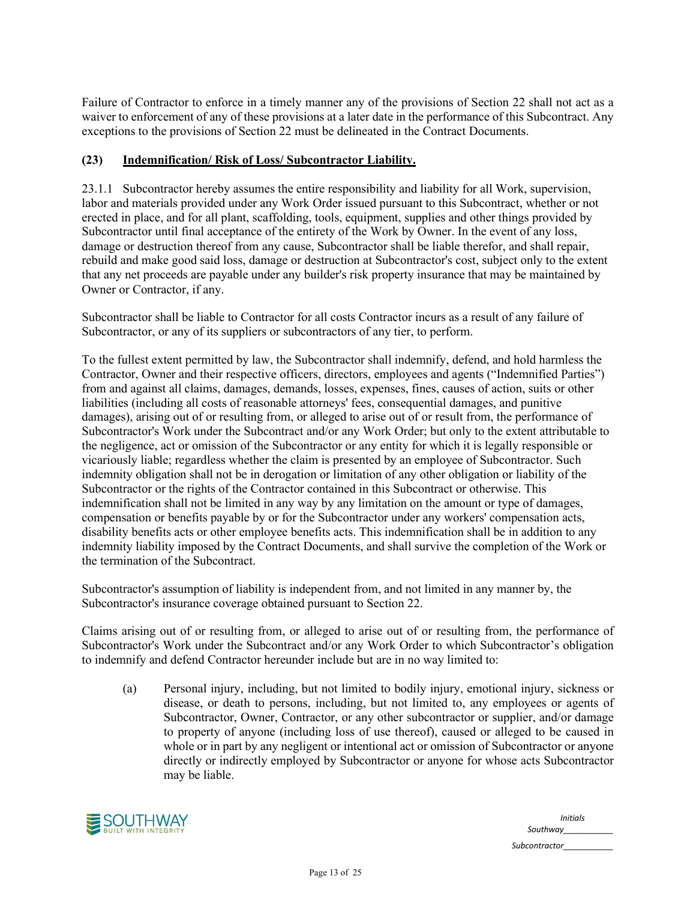Failure of Contractor to enforce in a timely manner any of the provisions of Section 22 shall not act as a waiver to enforcement of any of these provisions at a later date in the performance of this Subcontract. Any exceptions to the provisions of Section 22 must be delineated in the Contract Documents.

# **(23) Indemnification/ Risk of Loss/ Subcontractor Liability.**

23.1.1 Subcontractor hereby assumes the entire responsibility and liability for all Work, supervision, labor and materials provided under any Work Order issued pursuant to this Subcontract, whether or not erected in place, and for all plant, scaffolding, tools, equipment, supplies and other things provided by Subcontractor until final acceptance of the entirety of the Work by Owner. In the event of any loss, damage or destruction thereof from any cause, Subcontractor shall be liable therefor, and shall repair, rebuild and make good said loss, damage or destruction at Subcontractor's cost, subject only to the extent that any net proceeds are payable under any builder's risk property insurance that may be maintained by Owner or Contractor, if any.

Subcontractor shall be liable to Contractor for all costs Contractor incurs as a result of any failure of Subcontractor, or any of its suppliers or subcontractors of any tier, to perform.

To the fullest extent permitted by law, the Subcontractor shall indemnify, defend, and hold harmless the Contractor, Owner and their respective officers, directors, employees and agents ("Indemnified Parties") from and against all claims, damages, demands, losses, expenses, fines, causes of action, suits or other liabilities (including all costs of reasonable attorneys' fees, consequential damages, and punitive damages), arising out of or resulting from, or alleged to arise out of or result from, the performance of Subcontractor's Work under the Subcontract and/or any Work Order; but only to the extent attributable to the negligence, act or omission of the Subcontractor or any entity for which it is legally responsible or vicariously liable; regardless whether the claim is presented by an employee of Subcontractor. Such indemnity obligation shall not be in derogation or limitation of any other obligation or liability of the Subcontractor or the rights of the Contractor contained in this Subcontract or otherwise. This indemnification shall not be limited in any way by any limitation on the amount or type of damages, compensation or benefits payable by or for the Subcontractor under any workers' compensation acts, disability benefits acts or other employee benefits acts. This indemnification shall be in addition to any indemnity liability imposed by the Contract Documents, and shall survive the completion of the Work or the termination of the Subcontract.

Subcontractor's assumption of liability is independent from, and not limited in any manner by, the Subcontractor's insurance coverage obtained pursuant to Section 22.

Claims arising out of or resulting from, or alleged to arise out of or resulting from, the performance of Subcontractor's Work under the Subcontract and/or any Work Order to which Subcontractor's obligation to indemnify and defend Contractor hereunder include but are in no way limited to:

(a) Personal injury, including, but not limited to bodily injury, emotional injury, sickness or disease, or death to persons, including, but not limited to, any employees or agents of Subcontractor, Owner, Contractor, or any other subcontractor or supplier, and/or damage to property of anyone (including loss of use thereof), caused or alleged to be caused in whole or in part by any negligent or intentional act or omission of Subcontractor or anyone directly or indirectly employed by Subcontractor or anyone for whose acts Subcontractor may be liable.



| <b>Initials</b> |  |
|-----------------|--|
| Southway        |  |
| Subcontractor   |  |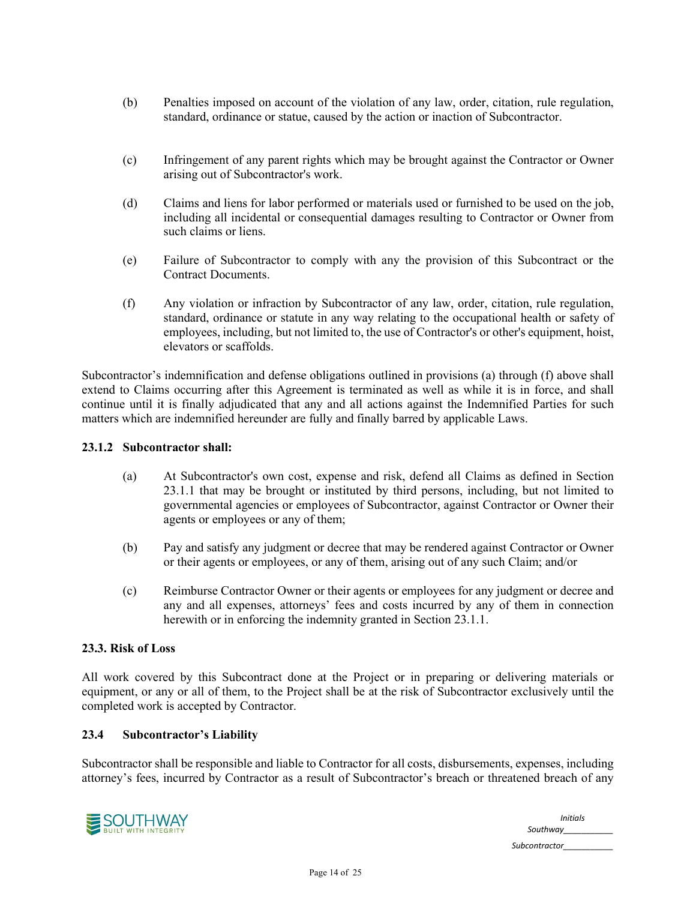- (b) Penalties imposed on account of the violation of any law, order, citation, rule regulation, standard, ordinance or statue, caused by the action or inaction of Subcontractor.
- (c) Infringement of any parent rights which may be brought against the Contractor or Owner arising out of Subcontractor's work.
- (d) Claims and liens for labor performed or materials used or furnished to be used on the job, including all incidental or consequential damages resulting to Contractor or Owner from such claims or liens.
- (e) Failure of Subcontractor to comply with any the provision of this Subcontract or the Contract Documents.
- (f) Any violation or infraction by Subcontractor of any law, order, citation, rule regulation, standard, ordinance or statute in any way relating to the occupational health or safety of employees, including, but not limited to, the use of Contractor's or other's equipment, hoist, elevators or scaffolds.

Subcontractor's indemnification and defense obligations outlined in provisions (a) through (f) above shall extend to Claims occurring after this Agreement is terminated as well as while it is in force, and shall continue until it is finally adjudicated that any and all actions against the Indemnified Parties for such matters which are indemnified hereunder are fully and finally barred by applicable Laws.

## **23.1.2 Subcontractor shall:**

- (a) At Subcontractor's own cost, expense and risk, defend all Claims as defined in Section 23.1.1 that may be brought or instituted by third persons, including, but not limited to governmental agencies or employees of Subcontractor, against Contractor or Owner their agents or employees or any of them;
- (b) Pay and satisfy any judgment or decree that may be rendered against Contractor or Owner or their agents or employees, or any of them, arising out of any such Claim; and/or
- (c) Reimburse Contractor Owner or their agents or employees for any judgment or decree and any and all expenses, attorneys' fees and costs incurred by any of them in connection herewith or in enforcing the indemnity granted in Section 23.1.1.

#### **23.3. Risk of Loss**

All work covered by this Subcontract done at the Project or in preparing or delivering materials or equipment, or any or all of them, to the Project shall be at the risk of Subcontractor exclusively until the completed work is accepted by Contractor.

#### **23.4 Subcontractor's Liability**

Subcontractor shall be responsible and liable to Contractor for all costs, disbursements, expenses, including attorney's fees, incurred by Contractor as a result of Subcontractor's breach or threatened breach of any



*Initials Southway\_\_\_\_\_\_\_\_\_\_\_ Subcontractor\_\_\_\_\_\_\_\_\_\_\_*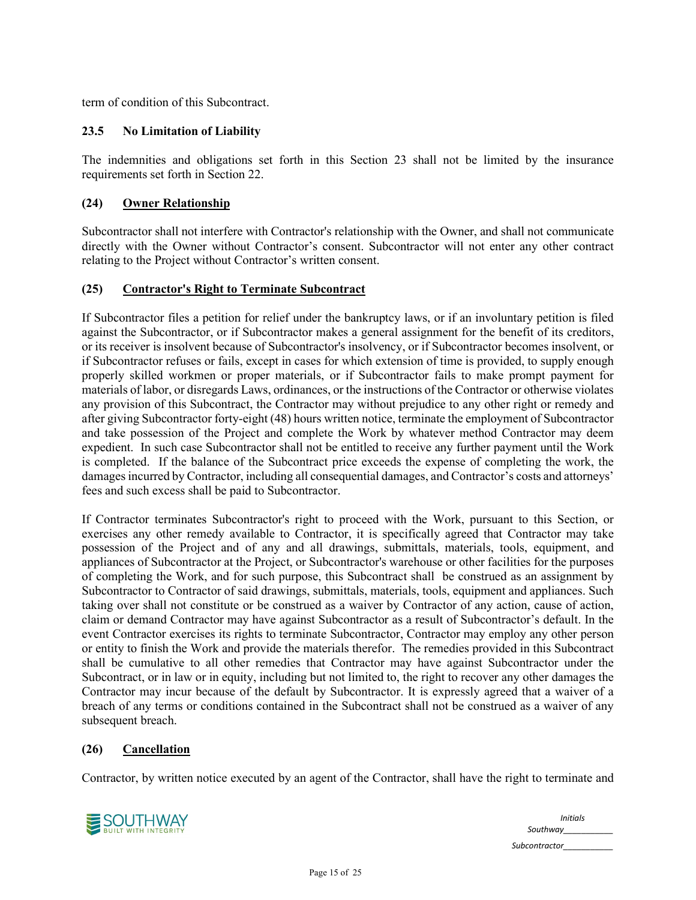term of condition of this Subcontract.

# **23.5 No Limitation of Liability**

The indemnities and obligations set forth in this Section 23 shall not be limited by the insurance requirements set forth in Section 22.

# **(24) Owner Relationship**

Subcontractor shall not interfere with Contractor's relationship with the Owner, and shall not communicate directly with the Owner without Contractor's consent. Subcontractor will not enter any other contract relating to the Project without Contractor's written consent.

#### **(25) Contractor's Right to Terminate Subcontract**

If Subcontractor files a petition for relief under the bankruptcy laws, or if an involuntary petition is filed against the Subcontractor, or if Subcontractor makes a general assignment for the benefit of its creditors, or its receiver is insolvent because of Subcontractor's insolvency, or if Subcontractor becomes insolvent, or if Subcontractor refuses or fails, except in cases for which extension of time is provided, to supply enough properly skilled workmen or proper materials, or if Subcontractor fails to make prompt payment for materials of labor, or disregards Laws, ordinances, or the instructions of the Contractor or otherwise violates any provision of this Subcontract, the Contractor may without prejudice to any other right or remedy and after giving Subcontractor forty-eight (48) hours written notice, terminate the employment of Subcontractor and take possession of the Project and complete the Work by whatever method Contractor may deem expedient. In such case Subcontractor shall not be entitled to receive any further payment until the Work is completed. If the balance of the Subcontract price exceeds the expense of completing the work, the damages incurred by Contractor, including all consequential damages, and Contractor's costs and attorneys' fees and such excess shall be paid to Subcontractor.

If Contractor terminates Subcontractor's right to proceed with the Work, pursuant to this Section, or exercises any other remedy available to Contractor, it is specifically agreed that Contractor may take possession of the Project and of any and all drawings, submittals, materials, tools, equipment, and appliances of Subcontractor at the Project, or Subcontractor's warehouse or other facilities for the purposes of completing the Work, and for such purpose, this Subcontract shall be construed as an assignment by Subcontractor to Contractor of said drawings, submittals, materials, tools, equipment and appliances. Such taking over shall not constitute or be construed as a waiver by Contractor of any action, cause of action, claim or demand Contractor may have against Subcontractor as a result of Subcontractor's default. In the event Contractor exercises its rights to terminate Subcontractor, Contractor may employ any other person or entity to finish the Work and provide the materials therefor. The remedies provided in this Subcontract shall be cumulative to all other remedies that Contractor may have against Subcontractor under the Subcontract, or in law or in equity, including but not limited to, the right to recover any other damages the Contractor may incur because of the default by Subcontractor. It is expressly agreed that a waiver of a breach of any terms or conditions contained in the Subcontract shall not be construed as a waiver of any subsequent breach.

#### **(26) Cancellation**

Contractor, by written notice executed by an agent of the Contractor, shall have the right to terminate and



| <b>Initials</b> |
|-----------------|
| Southway        |
| Subcontractor   |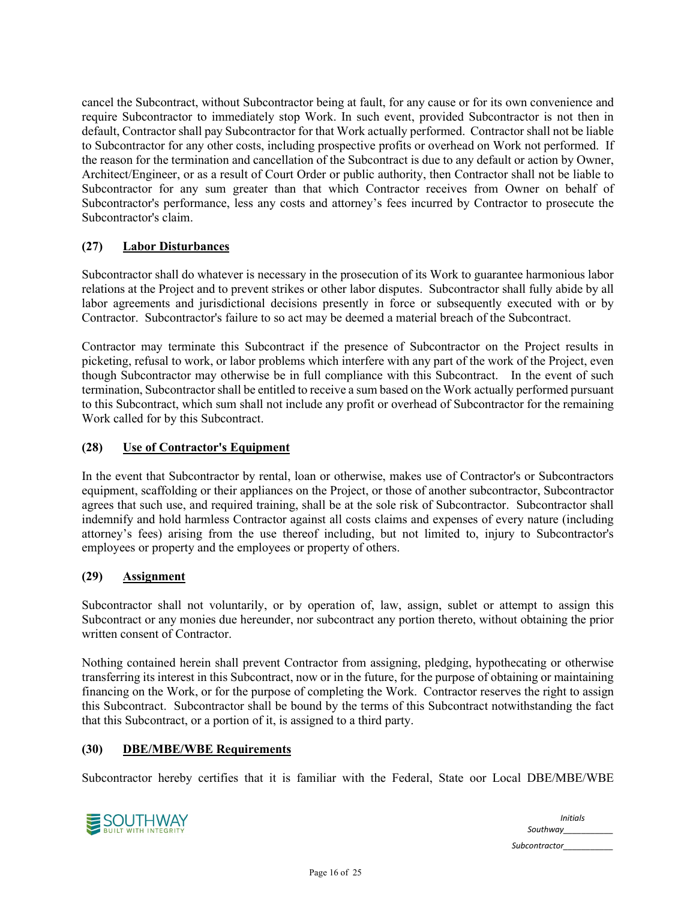cancel the Subcontract, without Subcontractor being at fault, for any cause or for its own convenience and require Subcontractor to immediately stop Work. In such event, provided Subcontractor is not then in default, Contractor shall pay Subcontractor for that Work actually performed. Contractor shall not be liable to Subcontractor for any other costs, including prospective profits or overhead on Work not performed. If the reason for the termination and cancellation of the Subcontract is due to any default or action by Owner, Architect/Engineer, or as a result of Court Order or public authority, then Contractor shall not be liable to Subcontractor for any sum greater than that which Contractor receives from Owner on behalf of Subcontractor's performance, less any costs and attorney's fees incurred by Contractor to prosecute the Subcontractor's claim.

# **(27) Labor Disturbances**

Subcontractor shall do whatever is necessary in the prosecution of its Work to guarantee harmonious labor relations at the Project and to prevent strikes or other labor disputes. Subcontractor shall fully abide by all labor agreements and jurisdictional decisions presently in force or subsequently executed with or by Contractor. Subcontractor's failure to so act may be deemed a material breach of the Subcontract.

Contractor may terminate this Subcontract if the presence of Subcontractor on the Project results in picketing, refusal to work, or labor problems which interfere with any part of the work of the Project, even though Subcontractor may otherwise be in full compliance with this Subcontract. In the event of such termination, Subcontractor shall be entitled to receive a sum based on the Work actually performed pursuant to this Subcontract, which sum shall not include any profit or overhead of Subcontractor for the remaining Work called for by this Subcontract.

# **(28) Use of Contractor's Equipment**

In the event that Subcontractor by rental, loan or otherwise, makes use of Contractor's or Subcontractors equipment, scaffolding or their appliances on the Project, or those of another subcontractor, Subcontractor agrees that such use, and required training, shall be at the sole risk of Subcontractor. Subcontractor shall indemnify and hold harmless Contractor against all costs claims and expenses of every nature (including attorney's fees) arising from the use thereof including, but not limited to, injury to Subcontractor's employees or property and the employees or property of others.

#### **(29) Assignment**

Subcontractor shall not voluntarily, or by operation of, law, assign, sublet or attempt to assign this Subcontract or any monies due hereunder, nor subcontract any portion thereto, without obtaining the prior written consent of Contractor.

Nothing contained herein shall prevent Contractor from assigning, pledging, hypothecating or otherwise transferring its interest in this Subcontract, now or in the future, for the purpose of obtaining or maintaining financing on the Work, or for the purpose of completing the Work. Contractor reserves the right to assign this Subcontract. Subcontractor shall be bound by the terms of this Subcontract notwithstanding the fact that this Subcontract, or a portion of it, is assigned to a third party.

#### **(30) DBE/MBE/WBE Requirements**

Subcontractor hereby certifies that it is familiar with the Federal, State oor Local DBE/MBE/WBE



| <b>Initials</b><br>Southway |
|-----------------------------|
| Subcontractor               |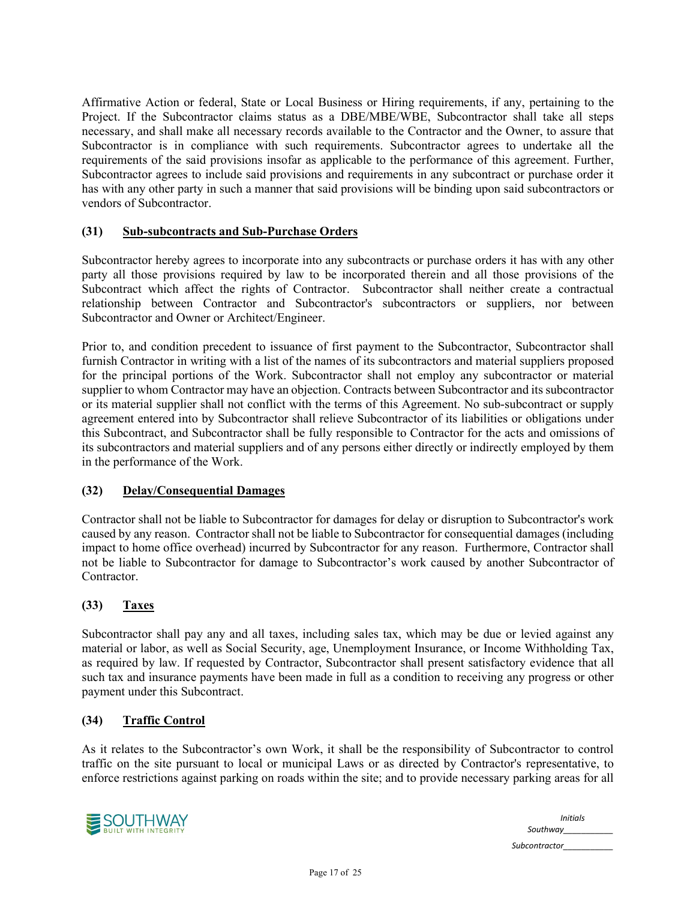Affirmative Action or federal, State or Local Business or Hiring requirements, if any, pertaining to the Project. If the Subcontractor claims status as a DBE/MBE/WBE, Subcontractor shall take all steps necessary, and shall make all necessary records available to the Contractor and the Owner, to assure that Subcontractor is in compliance with such requirements. Subcontractor agrees to undertake all the requirements of the said provisions insofar as applicable to the performance of this agreement. Further, Subcontractor agrees to include said provisions and requirements in any subcontract or purchase order it has with any other party in such a manner that said provisions will be binding upon said subcontractors or vendors of Subcontractor.

# **(31) Sub-subcontracts and Sub-Purchase Orders**

Subcontractor hereby agrees to incorporate into any subcontracts or purchase orders it has with any other party all those provisions required by law to be incorporated therein and all those provisions of the Subcontract which affect the rights of Contractor. Subcontractor shall neither create a contractual relationship between Contractor and Subcontractor's subcontractors or suppliers, nor between Subcontractor and Owner or Architect/Engineer.

Prior to, and condition precedent to issuance of first payment to the Subcontractor, Subcontractor shall furnish Contractor in writing with a list of the names of its subcontractors and material suppliers proposed for the principal portions of the Work. Subcontractor shall not employ any subcontractor or material supplier to whom Contractor may have an objection. Contracts between Subcontractor and its subcontractor or its material supplier shall not conflict with the terms of this Agreement. No sub-subcontract or supply agreement entered into by Subcontractor shall relieve Subcontractor of its liabilities or obligations under this Subcontract, and Subcontractor shall be fully responsible to Contractor for the acts and omissions of its subcontractors and material suppliers and of any persons either directly or indirectly employed by them in the performance of the Work.

# **(32) Delay/Consequential Damages**

Contractor shall not be liable to Subcontractor for damages for delay or disruption to Subcontractor's work caused by any reason. Contractor shall not be liable to Subcontractor for consequential damages (including impact to home office overhead) incurred by Subcontractor for any reason. Furthermore, Contractor shall not be liable to Subcontractor for damage to Subcontractor's work caused by another Subcontractor of Contractor.

# **(33) Taxes**

Subcontractor shall pay any and all taxes, including sales tax, which may be due or levied against any material or labor, as well as Social Security, age, Unemployment Insurance, or Income Withholding Tax, as required by law. If requested by Contractor, Subcontractor shall present satisfactory evidence that all such tax and insurance payments have been made in full as a condition to receiving any progress or other payment under this Subcontract.

#### **(34) Traffic Control**

As it relates to the Subcontractor's own Work, it shall be the responsibility of Subcontractor to control traffic on the site pursuant to local or municipal Laws or as directed by Contractor's representative, to enforce restrictions against parking on roads within the site; and to provide necessary parking areas for all



| <b>Initials</b><br>Southway |
|-----------------------------|
| Subcontractor               |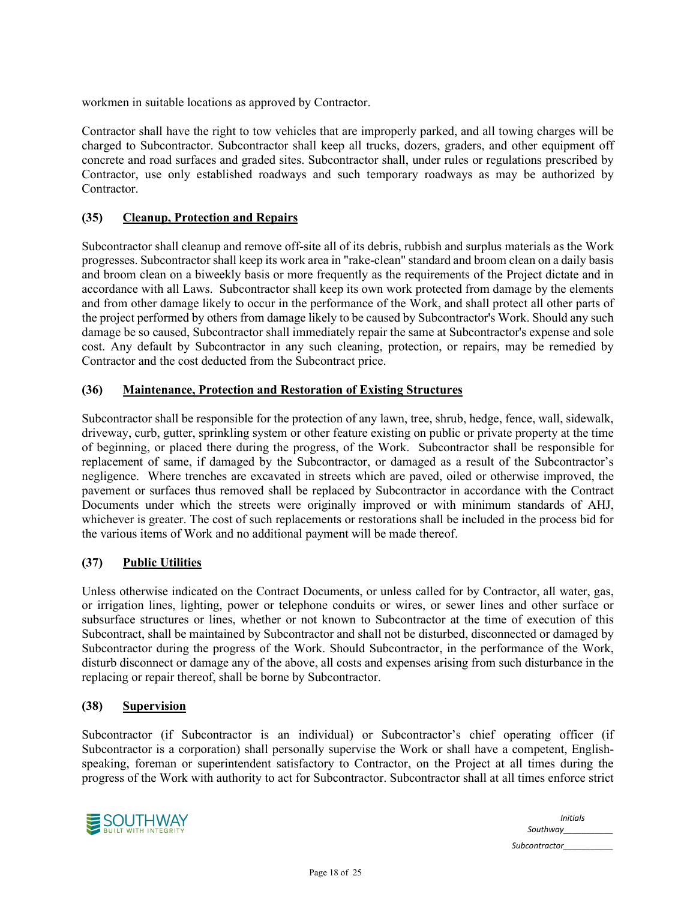workmen in suitable locations as approved by Contractor.

Contractor shall have the right to tow vehicles that are improperly parked, and all towing charges will be charged to Subcontractor. Subcontractor shall keep all trucks, dozers, graders, and other equipment off concrete and road surfaces and graded sites. Subcontractor shall, under rules or regulations prescribed by Contractor, use only established roadways and such temporary roadways as may be authorized by Contractor.

#### **(35) Cleanup, Protection and Repairs**

Subcontractor shall cleanup and remove off-site all of its debris, rubbish and surplus materials as the Work progresses. Subcontractor shall keep its work area in "rake-clean" standard and broom clean on a daily basis and broom clean on a biweekly basis or more frequently as the requirements of the Project dictate and in accordance with all Laws. Subcontractor shall keep its own work protected from damage by the elements and from other damage likely to occur in the performance of the Work, and shall protect all other parts of the project performed by others from damage likely to be caused by Subcontractor's Work. Should any such damage be so caused, Subcontractor shall immediately repair the same at Subcontractor's expense and sole cost. Any default by Subcontractor in any such cleaning, protection, or repairs, may be remedied by Contractor and the cost deducted from the Subcontract price.

#### **(36) Maintenance, Protection and Restoration of Existing Structures**

Subcontractor shall be responsible for the protection of any lawn, tree, shrub, hedge, fence, wall, sidewalk, driveway, curb, gutter, sprinkling system or other feature existing on public or private property at the time of beginning, or placed there during the progress, of the Work. Subcontractor shall be responsible for replacement of same, if damaged by the Subcontractor, or damaged as a result of the Subcontractor's negligence. Where trenches are excavated in streets which are paved, oiled or otherwise improved, the pavement or surfaces thus removed shall be replaced by Subcontractor in accordance with the Contract Documents under which the streets were originally improved or with minimum standards of AHJ, whichever is greater. The cost of such replacements or restorations shall be included in the process bid for the various items of Work and no additional payment will be made thereof.

# **(37) Public Utilities**

Unless otherwise indicated on the Contract Documents, or unless called for by Contractor, all water, gas, or irrigation lines, lighting, power or telephone conduits or wires, or sewer lines and other surface or subsurface structures or lines, whether or not known to Subcontractor at the time of execution of this Subcontract, shall be maintained by Subcontractor and shall not be disturbed, disconnected or damaged by Subcontractor during the progress of the Work. Should Subcontractor, in the performance of the Work, disturb disconnect or damage any of the above, all costs and expenses arising from such disturbance in the replacing or repair thereof, shall be borne by Subcontractor.

#### **(38) Supervision**

Subcontractor (if Subcontractor is an individual) or Subcontractor's chief operating officer (if Subcontractor is a corporation) shall personally supervise the Work or shall have a competent, Englishspeaking, foreman or superintendent satisfactory to Contractor, on the Project at all times during the progress of the Work with authority to act for Subcontractor. Subcontractor shall at all times enforce strict



| <b>Initials</b><br>Southway |
|-----------------------------|
| Subcontractor               |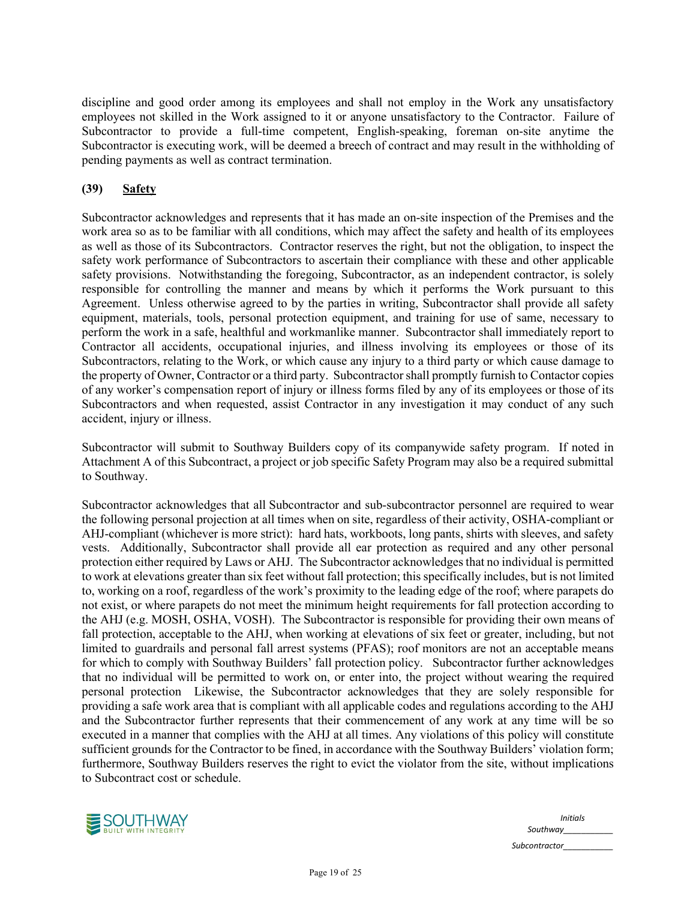discipline and good order among its employees and shall not employ in the Work any unsatisfactory employees not skilled in the Work assigned to it or anyone unsatisfactory to the Contractor. Failure of Subcontractor to provide a full-time competent, English-speaking, foreman on-site anytime the Subcontractor is executing work, will be deemed a breech of contract and may result in the withholding of pending payments as well as contract termination.

# **(39) Safety**

Subcontractor acknowledges and represents that it has made an on-site inspection of the Premises and the work area so as to be familiar with all conditions, which may affect the safety and health of its employees as well as those of its Subcontractors. Contractor reserves the right, but not the obligation, to inspect the safety work performance of Subcontractors to ascertain their compliance with these and other applicable safety provisions. Notwithstanding the foregoing, Subcontractor, as an independent contractor, is solely responsible for controlling the manner and means by which it performs the Work pursuant to this Agreement. Unless otherwise agreed to by the parties in writing, Subcontractor shall provide all safety equipment, materials, tools, personal protection equipment, and training for use of same, necessary to perform the work in a safe, healthful and workmanlike manner. Subcontractor shall immediately report to Contractor all accidents, occupational injuries, and illness involving its employees or those of its Subcontractors, relating to the Work, or which cause any injury to a third party or which cause damage to the property of Owner, Contractor or a third party. Subcontractor shall promptly furnish to Contactor copies of any worker's compensation report of injury or illness forms filed by any of its employees or those of its Subcontractors and when requested, assist Contractor in any investigation it may conduct of any such accident, injury or illness.

Subcontractor will submit to Southway Builders copy of its companywide safety program. If noted in Attachment A of this Subcontract, a project or job specific Safety Program may also be a required submittal to Southway.

Subcontractor acknowledges that all Subcontractor and sub-subcontractor personnel are required to wear the following personal projection at all times when on site, regardless of their activity, OSHA-compliant or AHJ-compliant (whichever is more strict): hard hats, workboots, long pants, shirts with sleeves, and safety vests. Additionally, Subcontractor shall provide all ear protection as required and any other personal protection either required by Laws or AHJ. The Subcontractor acknowledges that no individual is permitted to work at elevations greater than six feet without fall protection; this specifically includes, but is not limited to, working on a roof, regardless of the work's proximity to the leading edge of the roof; where parapets do not exist, or where parapets do not meet the minimum height requirements for fall protection according to the AHJ (e.g. MOSH, OSHA, VOSH). The Subcontractor is responsible for providing their own means of fall protection, acceptable to the AHJ, when working at elevations of six feet or greater, including, but not limited to guardrails and personal fall arrest systems (PFAS); roof monitors are not an acceptable means for which to comply with Southway Builders' fall protection policy. Subcontractor further acknowledges that no individual will be permitted to work on, or enter into, the project without wearing the required personal protection Likewise, the Subcontractor acknowledges that they are solely responsible for providing a safe work area that is compliant with all applicable codes and regulations according to the AHJ and the Subcontractor further represents that their commencement of any work at any time will be so executed in a manner that complies with the AHJ at all times. Any violations of this policy will constitute sufficient grounds for the Contractor to be fined, in accordance with the Southway Builders' violation form; furthermore, Southway Builders reserves the right to evict the violator from the site, without implications to Subcontract cost or schedule.



| <b>Initials</b> |
|-----------------|
| Southway        |
| Subcontractor   |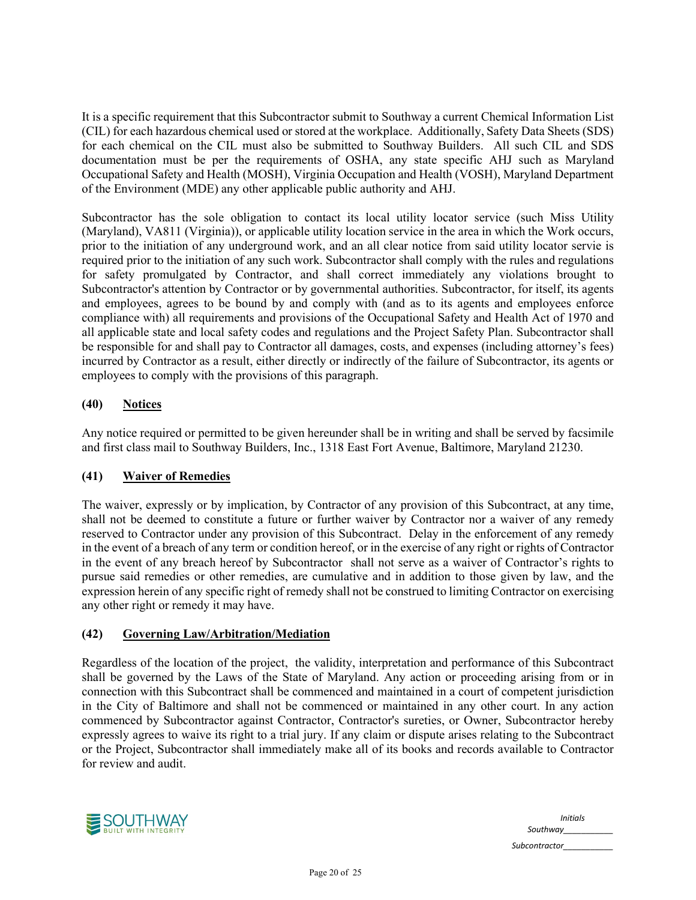It is a specific requirement that this Subcontractor submit to Southway a current Chemical Information List (CIL) for each hazardous chemical used or stored at the workplace. Additionally, Safety Data Sheets (SDS) for each chemical on the CIL must also be submitted to Southway Builders. All such CIL and SDS documentation must be per the requirements of OSHA, any state specific AHJ such as Maryland Occupational Safety and Health (MOSH), Virginia Occupation and Health (VOSH), Maryland Department of the Environment (MDE) any other applicable public authority and AHJ.

Subcontractor has the sole obligation to contact its local utility locator service (such Miss Utility (Maryland), VA811 (Virginia)), or applicable utility location service in the area in which the Work occurs, prior to the initiation of any underground work, and an all clear notice from said utility locator servie is required prior to the initiation of any such work. Subcontractor shall comply with the rules and regulations for safety promulgated by Contractor, and shall correct immediately any violations brought to Subcontractor's attention by Contractor or by governmental authorities. Subcontractor, for itself, its agents and employees, agrees to be bound by and comply with (and as to its agents and employees enforce compliance with) all requirements and provisions of the Occupational Safety and Health Act of 1970 and all applicable state and local safety codes and regulations and the Project Safety Plan. Subcontractor shall be responsible for and shall pay to Contractor all damages, costs, and expenses (including attorney's fees) incurred by Contractor as a result, either directly or indirectly of the failure of Subcontractor, its agents or employees to comply with the provisions of this paragraph.

# **(40) Notices**

Any notice required or permitted to be given hereunder shall be in writing and shall be served by facsimile and first class mail to Southway Builders, Inc., 1318 East Fort Avenue, Baltimore, Maryland 21230.

# **(41) Waiver of Remedies**

The waiver, expressly or by implication, by Contractor of any provision of this Subcontract, at any time, shall not be deemed to constitute a future or further waiver by Contractor nor a waiver of any remedy reserved to Contractor under any provision of this Subcontract. Delay in the enforcement of any remedy in the event of a breach of any term or condition hereof, or in the exercise of any right or rights of Contractor in the event of any breach hereof by Subcontractor shall not serve as a waiver of Contractor's rights to pursue said remedies or other remedies, are cumulative and in addition to those given by law, and the expression herein of any specific right of remedy shall not be construed to limiting Contractor on exercising any other right or remedy it may have.

# **(42) Governing Law/Arbitration/Mediation**

Regardless of the location of the project, the validity, interpretation and performance of this Subcontract shall be governed by the Laws of the State of Maryland. Any action or proceeding arising from or in connection with this Subcontract shall be commenced and maintained in a court of competent jurisdiction in the City of Baltimore and shall not be commenced or maintained in any other court. In any action commenced by Subcontractor against Contractor, Contractor's sureties, or Owner, Subcontractor hereby expressly agrees to waive its right to a trial jury. If any claim or dispute arises relating to the Subcontract or the Project, Subcontractor shall immediately make all of its books and records available to Contractor for review and audit.



|               | <b>Initials</b> |
|---------------|-----------------|
|               | Southway        |
| Subcontractor |                 |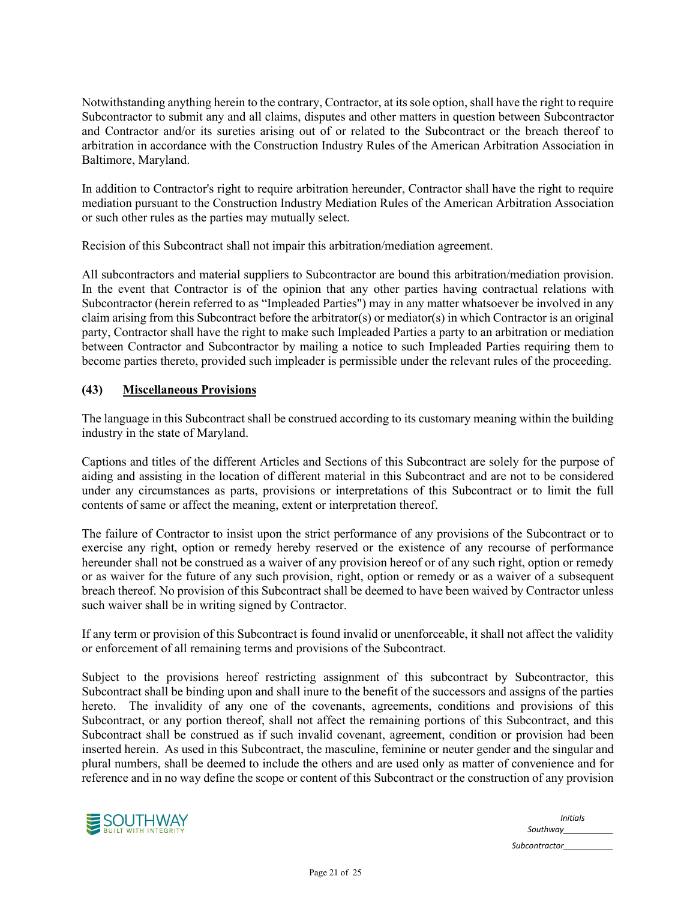Notwithstanding anything herein to the contrary, Contractor, at its sole option, shall have the right to require Subcontractor to submit any and all claims, disputes and other matters in question between Subcontractor and Contractor and/or its sureties arising out of or related to the Subcontract or the breach thereof to arbitration in accordance with the Construction Industry Rules of the American Arbitration Association in Baltimore, Maryland.

In addition to Contractor's right to require arbitration hereunder, Contractor shall have the right to require mediation pursuant to the Construction Industry Mediation Rules of the American Arbitration Association or such other rules as the parties may mutually select.

Recision of this Subcontract shall not impair this arbitration/mediation agreement.

All subcontractors and material suppliers to Subcontractor are bound this arbitration/mediation provision. In the event that Contractor is of the opinion that any other parties having contractual relations with Subcontractor (herein referred to as "Impleaded Parties") may in any matter whatsoever be involved in any claim arising from this Subcontract before the arbitrator(s) or mediator(s) in which Contractor is an original party, Contractor shall have the right to make such Impleaded Parties a party to an arbitration or mediation between Contractor and Subcontractor by mailing a notice to such Impleaded Parties requiring them to become parties thereto, provided such impleader is permissible under the relevant rules of the proceeding.

## **(43) Miscellaneous Provisions**

The language in this Subcontract shall be construed according to its customary meaning within the building industry in the state of Maryland.

Captions and titles of the different Articles and Sections of this Subcontract are solely for the purpose of aiding and assisting in the location of different material in this Subcontract and are not to be considered under any circumstances as parts, provisions or interpretations of this Subcontract or to limit the full contents of same or affect the meaning, extent or interpretation thereof.

The failure of Contractor to insist upon the strict performance of any provisions of the Subcontract or to exercise any right, option or remedy hereby reserved or the existence of any recourse of performance hereunder shall not be construed as a waiver of any provision hereof or of any such right, option or remedy or as waiver for the future of any such provision, right, option or remedy or as a waiver of a subsequent breach thereof. No provision of this Subcontract shall be deemed to have been waived by Contractor unless such waiver shall be in writing signed by Contractor.

If any term or provision of this Subcontract is found invalid or unenforceable, it shall not affect the validity or enforcement of all remaining terms and provisions of the Subcontract.

Subject to the provisions hereof restricting assignment of this subcontract by Subcontractor, this Subcontract shall be binding upon and shall inure to the benefit of the successors and assigns of the parties hereto. The invalidity of any one of the covenants, agreements, conditions and provisions of this Subcontract, or any portion thereof, shall not affect the remaining portions of this Subcontract, and this Subcontract shall be construed as if such invalid covenant, agreement, condition or provision had been inserted herein. As used in this Subcontract, the masculine, feminine or neuter gender and the singular and plural numbers, shall be deemed to include the others and are used only as matter of convenience and for reference and in no way define the scope or content of this Subcontract or the construction of any provision



| <b>Initials</b> |
|-----------------|
| Southway        |
| Subcontractor   |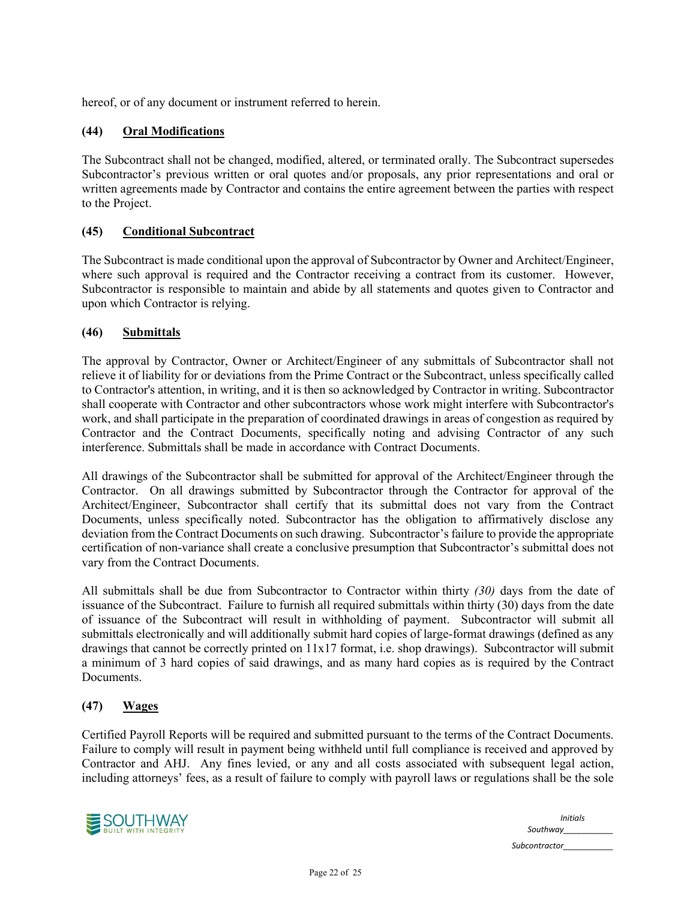hereof, or of any document or instrument referred to herein.

# **(44) Oral Modifications**

The Subcontract shall not be changed, modified, altered, or terminated orally. The Subcontract supersedes Subcontractor's previous written or oral quotes and/or proposals, any prior representations and oral or written agreements made by Contractor and contains the entire agreement between the parties with respect to the Project.

## **(45) Conditional Subcontract**

The Subcontract is made conditional upon the approval of Subcontractor by Owner and Architect/Engineer, where such approval is required and the Contractor receiving a contract from its customer. However, Subcontractor is responsible to maintain and abide by all statements and quotes given to Contractor and upon which Contractor is relying.

#### **(46) Submittals**

The approval by Contractor, Owner or Architect/Engineer of any submittals of Subcontractor shall not relieve it of liability for or deviations from the Prime Contract or the Subcontract, unless specifically called to Contractor's attention, in writing, and it is then so acknowledged by Contractor in writing. Subcontractor shall cooperate with Contractor and other subcontractors whose work might interfere with Subcontractor's work, and shall participate in the preparation of coordinated drawings in areas of congestion as required by Contractor and the Contract Documents, specifically noting and advising Contractor of any such interference. Submittals shall be made in accordance with Contract Documents.

All drawings of the Subcontractor shall be submitted for approval of the Architect/Engineer through the Contractor. On all drawings submitted by Subcontractor through the Contractor for approval of the Architect/Engineer, Subcontractor shall certify that its submittal does not vary from the Contract Documents, unless specifically noted. Subcontractor has the obligation to affirmatively disclose any deviation from the Contract Documents on such drawing. Subcontractor's failure to provide the appropriate certification of non-variance shall create a conclusive presumption that Subcontractor's submittal does not vary from the Contract Documents.

All submittals shall be due from Subcontractor to Contractor within thirty *(30)* days from the date of issuance of the Subcontract. Failure to furnish all required submittals within thirty (30) days from the date of issuance of the Subcontract will result in withholding of payment. Subcontractor will submit all submittals electronically and will additionally submit hard copies of large-format drawings (defined as any drawings that cannot be correctly printed on 11x17 format, i.e. shop drawings). Subcontractor will submit a minimum of 3 hard copies of said drawings, and as many hard copies as is required by the Contract Documents.

# **(47) Wages**

Certified Payroll Reports will be required and submitted pursuant to the terms of the Contract Documents. Failure to comply will result in payment being withheld until full compliance is received and approved by Contractor and AHJ. Any fines levied, or any and all costs associated with subsequent legal action, including attorneys' fees, as a result of failure to comply with payroll laws or regulations shall be the sole



| <b>Initials</b><br>Southway |
|-----------------------------|
| Subcontractor               |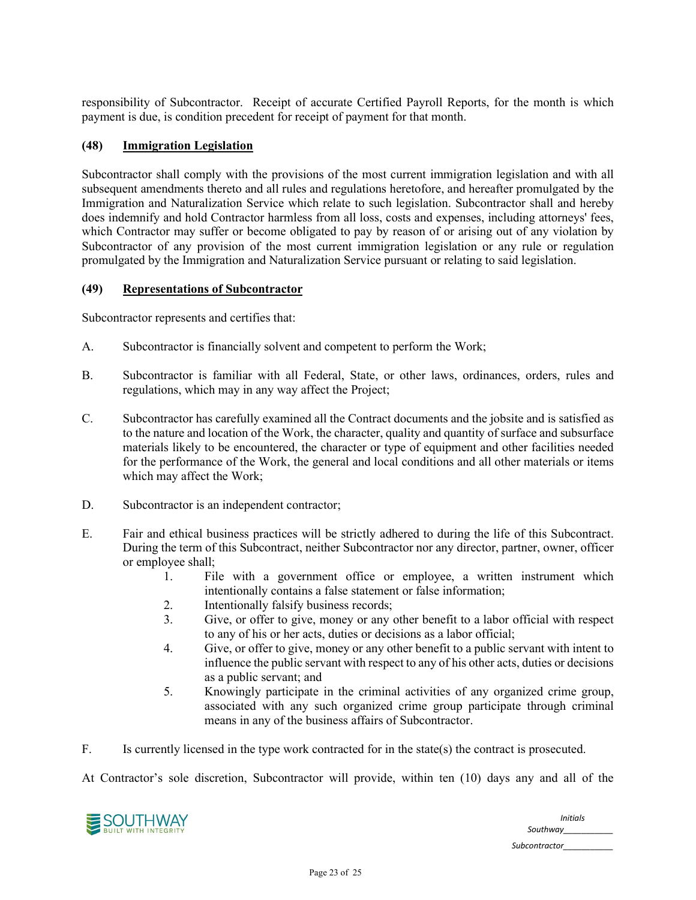responsibility of Subcontractor. Receipt of accurate Certified Payroll Reports, for the month is which payment is due, is condition precedent for receipt of payment for that month.

# **(48) Immigration Legislation**

Subcontractor shall comply with the provisions of the most current immigration legislation and with all subsequent amendments thereto and all rules and regulations heretofore, and hereafter promulgated by the Immigration and Naturalization Service which relate to such legislation. Subcontractor shall and hereby does indemnify and hold Contractor harmless from all loss, costs and expenses, including attorneys' fees, which Contractor may suffer or become obligated to pay by reason of or arising out of any violation by Subcontractor of any provision of the most current immigration legislation or any rule or regulation promulgated by the Immigration and Naturalization Service pursuant or relating to said legislation.

#### **(49) Representations of Subcontractor**

Subcontractor represents and certifies that:

- A. Subcontractor is financially solvent and competent to perform the Work;
- B. Subcontractor is familiar with all Federal, State, or other laws, ordinances, orders, rules and regulations, which may in any way affect the Project;
- C. Subcontractor has carefully examined all the Contract documents and the jobsite and is satisfied as to the nature and location of the Work, the character, quality and quantity of surface and subsurface materials likely to be encountered, the character or type of equipment and other facilities needed for the performance of the Work, the general and local conditions and all other materials or items which may affect the Work;
- D. Subcontractor is an independent contractor;
- E. Fair and ethical business practices will be strictly adhered to during the life of this Subcontract. During the term of this Subcontract, neither Subcontractor nor any director, partner, owner, officer or employee shall;
	- 1. File with a government office or employee, a written instrument which intentionally contains a false statement or false information;
	- 2. Intentionally falsify business records;
	- 3. Give, or offer to give, money or any other benefit to a labor official with respect to any of his or her acts, duties or decisions as a labor official;
	- 4. Give, or offer to give, money or any other benefit to a public servant with intent to influence the public servant with respect to any of his other acts, duties or decisions as a public servant; and
	- 5. Knowingly participate in the criminal activities of any organized crime group, associated with any such organized crime group participate through criminal means in any of the business affairs of Subcontractor.

F. Is currently licensed in the type work contracted for in the state(s) the contract is prosecuted.

At Contractor's sole discretion, Subcontractor will provide, within ten (10) days any and all of the

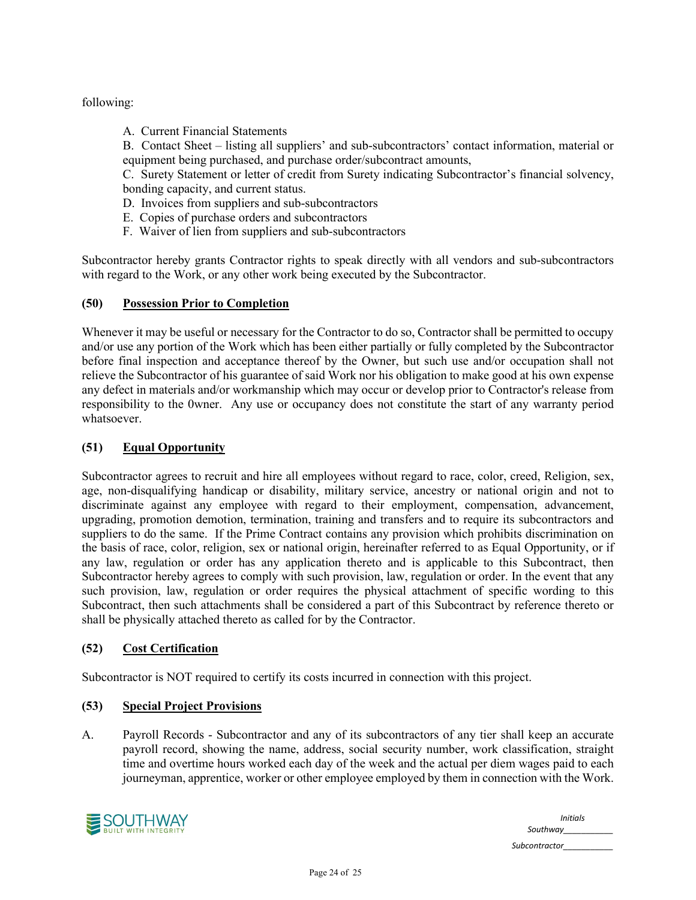following:

A. Current Financial Statements

B. Contact Sheet – listing all suppliers' and sub-subcontractors' contact information, material or equipment being purchased, and purchase order/subcontract amounts,

C. Surety Statement or letter of credit from Surety indicating Subcontractor's financial solvency, bonding capacity, and current status.

- D. Invoices from suppliers and sub-subcontractors
- E. Copies of purchase orders and subcontractors
- F. Waiver of lien from suppliers and sub-subcontractors

Subcontractor hereby grants Contractor rights to speak directly with all vendors and sub-subcontractors with regard to the Work, or any other work being executed by the Subcontractor.

## **(50) Possession Prior to Completion**

Whenever it may be useful or necessary for the Contractor to do so, Contractor shall be permitted to occupy and/or use any portion of the Work which has been either partially or fully completed by the Subcontractor before final inspection and acceptance thereof by the Owner, but such use and/or occupation shall not relieve the Subcontractor of his guarantee of said Work nor his obligation to make good at his own expense any defect in materials and/or workmanship which may occur or develop prior to Contractor's release from responsibility to the 0wner. Any use or occupancy does not constitute the start of any warranty period whatsoever.

# **(51) Equal Opportunity**

Subcontractor agrees to recruit and hire all employees without regard to race, color, creed, Religion, sex, age, non-disqualifying handicap or disability, military service, ancestry or national origin and not to discriminate against any employee with regard to their employment, compensation, advancement, upgrading, promotion demotion, termination, training and transfers and to require its subcontractors and suppliers to do the same. If the Prime Contract contains any provision which prohibits discrimination on the basis of race, color, religion, sex or national origin, hereinafter referred to as Equal Opportunity, or if any law, regulation or order has any application thereto and is applicable to this Subcontract, then Subcontractor hereby agrees to comply with such provision, law, regulation or order. In the event that any such provision, law, regulation or order requires the physical attachment of specific wording to this Subcontract, then such attachments shall be considered a part of this Subcontract by reference thereto or shall be physically attached thereto as called for by the Contractor.

#### **(52) Cost Certification**

Subcontractor is NOT required to certify its costs incurred in connection with this project.

#### **(53) Special Project Provisions**

A. Payroll Records - Subcontractor and any of its subcontractors of any tier shall keep an accurate payroll record, showing the name, address, social security number, work classification, straight time and overtime hours worked each day of the week and the actual per diem wages paid to each journeyman, apprentice, worker or other employee employed by them in connection with the Work.



| <b>Initials</b><br>Southway |
|-----------------------------|
| Subcontractor               |